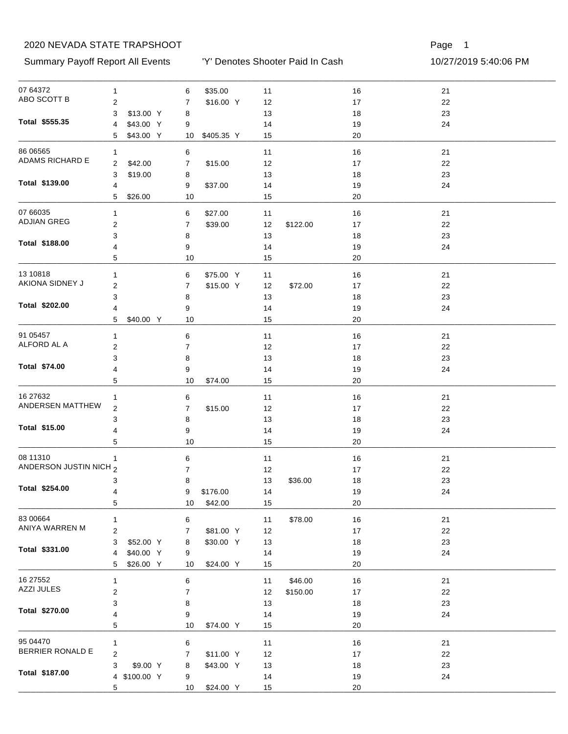Summary Payoff Report All Events 10/27/2019 5:40:06 PM

'Y' Denotes Shooter Paid In Cash

Page 1

| 07 64372                      | $\mathbf{1}$            |              | 6               | \$35.00    | 11       |          | $16$     | 21 |
|-------------------------------|-------------------------|--------------|-----------------|------------|----------|----------|----------|----|
| ABO SCOTT B                   | $\overline{\mathbf{c}}$ |              | 7               | \$16.00 Y  | 12       |          | 17       | 22 |
|                               | 3                       | \$13.00 Y    | 8               |            | 13       |          | $18$     | 23 |
| Total \$555.35                | $\overline{4}$          | \$43.00 Y    | 9               |            | 14       |          | 19       | 24 |
|                               | 5                       | \$43.00 Y    | 10 <sup>°</sup> | \$405.35 Y | 15       |          | 20       |    |
| 86 06565                      | 1                       |              | 6               |            | 11       |          | $16$     | 21 |
| ADAMS RICHARD E               | $\overline{2}$          | \$42.00      | $\overline{7}$  | \$15.00    | 12       |          | 17       | 22 |
|                               | 3                       | \$19.00      |                 |            |          |          | $18$     | 23 |
| Total \$139.00                |                         |              | 8               |            | 13       |          |          |    |
|                               | 4<br>5                  | \$26.00      | 9<br>10         | \$37.00    | 14<br>15 |          | 19<br>20 | 24 |
|                               |                         |              |                 |            |          |          |          |    |
| 07 66035                      | $\mathbf{1}$            |              | 6               | \$27.00    | 11       |          | 16       | 21 |
| <b>ADJIAN GREG</b>            | $\overline{c}$          |              | 7               | \$39.00    | 12       | \$122.00 | 17       | 22 |
|                               | 3                       |              | 8               |            | 13       |          | 18       | 23 |
| Total \$188.00                | 4                       |              | 9               |            | 14       |          | 19       | 24 |
|                               | 5                       |              | 10              |            | 15       |          | 20       |    |
| 13 10818                      | $\mathbf{1}$            |              | 6               | \$75.00 Y  | 11       |          | 16       | 21 |
| AKIONA SIDNEY J               | $\mathbf{2}$            |              | 7               | \$15.00 Y  | 12       | \$72.00  | 17       | 22 |
|                               | 3                       |              | 8               |            | 13       |          | 18       | 23 |
| Total \$202.00                |                         |              |                 |            |          |          |          | 24 |
|                               | 4<br>5                  | \$40.00 Y    | 9<br>10         |            | 14<br>15 |          | 19<br>20 |    |
|                               |                         |              |                 |            |          |          |          |    |
| 91 05457                      | $\mathbf{1}$            |              | 6               |            | 11       |          | 16       | 21 |
| ALFORD AL A                   | $\overline{c}$          |              | $\overline{7}$  |            | 12       |          | 17       | 22 |
|                               | 3                       |              | 8               |            | 13       |          | 18       | 23 |
| Total \$74.00                 | 4                       |              | 9               |            | 14       |          | 19       | 24 |
|                               | 5                       |              | 10              | \$74.00    | 15       |          | 20       |    |
| 16 27 632                     | 1                       |              | 6               |            | 11       |          | 16       | 21 |
| ANDERSEN MATTHEW              | $\overline{2}$          |              | 7               | \$15.00    | 12       |          | 17       | 22 |
|                               | 3                       |              | 8               |            | 13       |          | 18       | 23 |
| Total \$15.00                 | 4                       |              | 9               |            | 14       |          | 19       | 24 |
|                               | 5                       |              | 10              |            | 15       |          | 20       |    |
|                               |                         |              |                 |            |          |          |          |    |
| 08 11310                      | 1                       |              | 6               |            | 11       |          | 16       | 21 |
| ANDERSON JUSTIN NICH 2        |                         |              | $\overline{7}$  |            | 12       |          | 17       | 22 |
|                               | 3                       |              | 8               |            | 13       | \$36.00  | 18       | 23 |
| Total \$254.00                | 4                       |              | 9               | \$176.00   | 14       |          | $19$     | 24 |
|                               | 5                       |              | 10              | \$42.00    | 15       |          | 20       |    |
| 83 00664                      | $\mathbf{1}$            |              | 6               |            | 11       | \$78.00  | $16$     | 21 |
| ANIYA WARREN M                | $\overline{\mathbf{c}}$ |              | 7               | \$81.00 Y  | 12       |          | 17       | 22 |
|                               | 3                       | \$52.00 Y    | 8               | \$30.00 Y  | 13       |          | 18       | 23 |
| Total \$331.00                | 4                       | \$40.00 Y    | 9               |            | 14       |          | 19       | 24 |
|                               | 5                       | \$26.00 Y    | 10              | \$24.00 Y  | 15       |          | 20       |    |
|                               |                         |              |                 |            |          |          |          |    |
| 16 27552<br><b>AZZI JULES</b> | 1                       |              | 6               |            | 11       | \$46.00  | $16$     | 21 |
|                               | $\boldsymbol{2}$        |              | 7               |            | 12       | \$150.00 | 17       | 22 |
| Total \$270.00                | 3                       |              | 8               |            | 13       |          | 18       | 23 |
|                               | 4                       |              | 9               |            | 14       |          | 19       | 24 |
|                               | 5                       |              | 10              | \$74.00 Y  | 15       |          | 20       |    |
| 95 04470                      | $\mathbf{1}$            |              | 6               |            | 11       |          | 16       | 21 |
| BERRIER RONALD E              | $\overline{c}$          |              | 7               | \$11.00 Y  | 12       |          | $17\,$   | 22 |
|                               | 3                       | \$9.00 Y     | 8               | \$43.00 Y  | 13       |          | $18$     | 23 |
| Total \$187.00                |                         | 4 \$100.00 Y | 9               |            | 14       |          | 19       | 24 |
|                               | 5                       |              | 10              | \$24.00 Y  | 15       |          | 20       |    |

10 \$24.00 \_\_\_\_\_\_\_\_\_\_\_\_\_\_\_\_\_\_\_\_\_\_\_\_\_\_\_\_\_\_\_\_\_\_\_\_\_\_\_\_\_\_\_\_\_\_\_\_\_\_\_\_\_\_\_\_\_\_\_\_\_\_\_\_\_\_\_\_\_\_\_\_\_\_\_\_\_\_\_\_\_\_\_\_\_\_\_\_\_\_\_\_\_\_\_\_\_\_\_\_\_\_\_\_\_\_\_\_\_\_\_\_\_\_\_\_\_\_\_\_\_\_\_\_\_\_\_ Y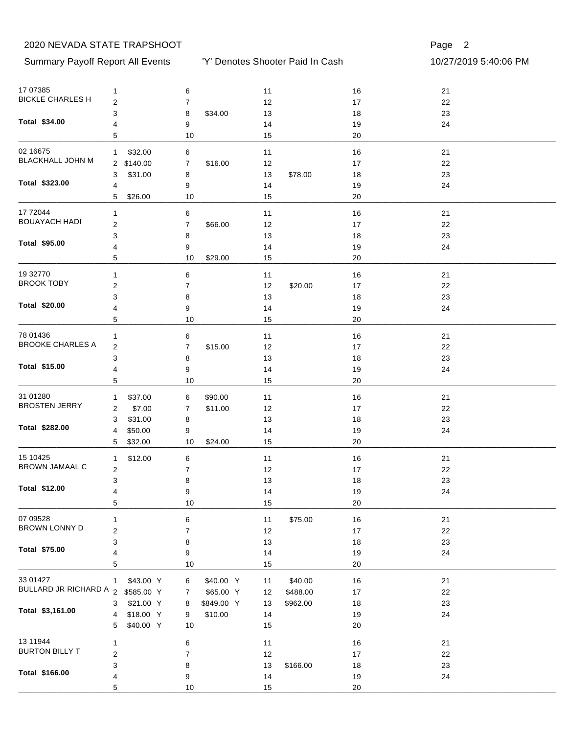#### Summary Payoff Report All Events 10/27/2019 5:40:06 PM

'Y' Denotes Shooter Paid In Cash

| 17 07 385                           | 1                       |            | 6              |            | 11   |          | 16   | 21 |  |
|-------------------------------------|-------------------------|------------|----------------|------------|------|----------|------|----|--|
| <b>BICKLE CHARLES H</b>             | $\boldsymbol{2}$        |            | $\overline{7}$ |            | 12   |          | $17$ | 22 |  |
|                                     | 3                       |            | 8              | \$34.00    | 13   |          | 18   | 23 |  |
| Total \$34.00                       | 4                       |            | 9              |            | 14   |          | 19   | 24 |  |
|                                     | 5                       |            | 10             |            | 15   |          | 20   |    |  |
| 02 16675                            | 1                       | \$32.00    | 6              |            | 11   |          | 16   | 21 |  |
| BLACKHALL JOHN M                    |                         | 2 \$140.00 | 7              | \$16.00    | 12   |          | 17   | 22 |  |
|                                     | 3                       | \$31.00    | 8              |            | 13   | \$78.00  | 18   | 23 |  |
| Total \$323.00                      | 4                       |            | 9              |            | 14   |          | 19   | 24 |  |
|                                     | 5                       | \$26.00    | 10             |            | 15   |          | 20   |    |  |
| 17 72044                            | 1                       |            | 6              |            | 11   |          | 16   | 21 |  |
| <b>BOUAYACH HADI</b>                | $\overline{\mathbf{c}}$ |            | $\overline{7}$ | \$66.00    | 12   |          | 17   | 22 |  |
|                                     | 3                       |            | 8              |            | 13   |          | 18   | 23 |  |
| Total \$95.00                       | 4                       |            | 9              |            | 14   |          | 19   | 24 |  |
|                                     | 5                       |            | 10             | \$29.00    | 15   |          | 20   |    |  |
| 19 32770                            | 1                       |            | 6              |            | 11   |          | 16   | 21 |  |
| <b>BROOK TOBY</b>                   | $\overline{\mathbf{c}}$ |            | 7              |            | 12   | \$20.00  | 17   | 22 |  |
|                                     | 3                       |            | 8              |            | 13   |          | 18   | 23 |  |
| Total \$20.00                       | 4                       |            | 9              |            | 14   |          | 19   | 24 |  |
|                                     | 5                       |            | 10             |            | 15   |          | 20   |    |  |
|                                     |                         |            |                |            |      |          |      |    |  |
| 78 01436<br><b>BROOKE CHARLES A</b> | 1                       |            | 6              |            | 11   |          | 16   | 21 |  |
|                                     | $\overline{\mathbf{c}}$ |            | $\overline{7}$ | \$15.00    | 12   |          | 17   | 22 |  |
|                                     | 3                       |            | 8              |            | 13   |          | 18   | 23 |  |
| Total \$15.00                       | 4                       |            | 9              |            | 14   |          | 19   | 24 |  |
|                                     | 5                       |            | 10             |            | 15   |          | 20   |    |  |
| 31 01280                            | 1                       | \$37.00    | 6              | \$90.00    | 11   |          | 16   | 21 |  |
| <b>BROSTEN JERRY</b>                | 2                       | \$7.00     | 7              | \$11.00    | 12   |          | 17   | 22 |  |
|                                     | 3                       | \$31.00    | 8              |            | 13   |          | 18   | 23 |  |
| Total \$282.00                      | 4                       | \$50.00    | 9              |            | 14   |          | 19   | 24 |  |
|                                     | 5                       | \$32.00    | 10             | \$24.00    | 15   |          | 20   |    |  |
| 15 10425                            | 1                       | \$12.00    | 6              |            | 11   |          | 16   | 21 |  |
| <b>BROWN JAMAAL C</b>               | $\overline{\mathbf{c}}$ |            | 7              |            | 12   |          | 17   | 22 |  |
|                                     | 3                       |            | 8              |            | 13   |          | 18   | 23 |  |
| Total \$12.00                       | 4                       |            | 9              |            | 14   |          | 19   | 24 |  |
|                                     | 5                       |            | 10             |            | 15   |          | 20   |    |  |
| 07 09528                            | 1                       |            | 6              |            | 11   | \$75.00  | 16   | 21 |  |
| BROWN LONNY D                       | $\overline{\mathbf{c}}$ |            | 7              |            | 12   |          | 17   | 22 |  |
|                                     | 3                       |            | 8              |            | 13   |          | 18   | 23 |  |
| Total \$75.00                       | 4                       |            | 9              |            | 14   |          | 19   | 24 |  |
|                                     | 5                       |            | $10$           |            | 15   |          | 20   |    |  |
| 33 01427                            | $\mathbf{1}$            | \$43.00 Y  | 6              | \$40.00 Y  | 11   | \$40.00  | 16   | 21 |  |
| BULLARD JR RICHARD A 2 \$585.00 Y   |                         |            | 7              | \$65.00 Y  | 12   | \$488.00 | 17   | 22 |  |
|                                     | 3                       | \$21.00 Y  | 8              | \$849.00 Y | 13   | \$962.00 | 18   | 23 |  |
| Total \$3,161.00                    | 4                       | \$18.00 Y  | 9              | \$10.00    | 14   |          | 19   | 24 |  |
|                                     | 5                       | \$40.00 Y  | 10             |            | 15   |          | 20   |    |  |
|                                     |                         |            |                |            |      |          |      |    |  |
| 13 11944<br><b>BURTON BILLY T</b>   | $\mathbf{1}$            |            | 6              |            | 11   |          | 16   | 21 |  |
|                                     | $\overline{\mathbf{c}}$ |            | $\overline{7}$ |            | 12   |          | $17$ | 22 |  |
| Total \$166.00                      | 3                       |            | 8              |            | $13$ | \$166.00 | 18   | 23 |  |
|                                     | 4                       |            | 9              |            | 14   |          | 19   | 24 |  |
|                                     | 5                       |            | 10             |            | 15   |          | 20   |    |  |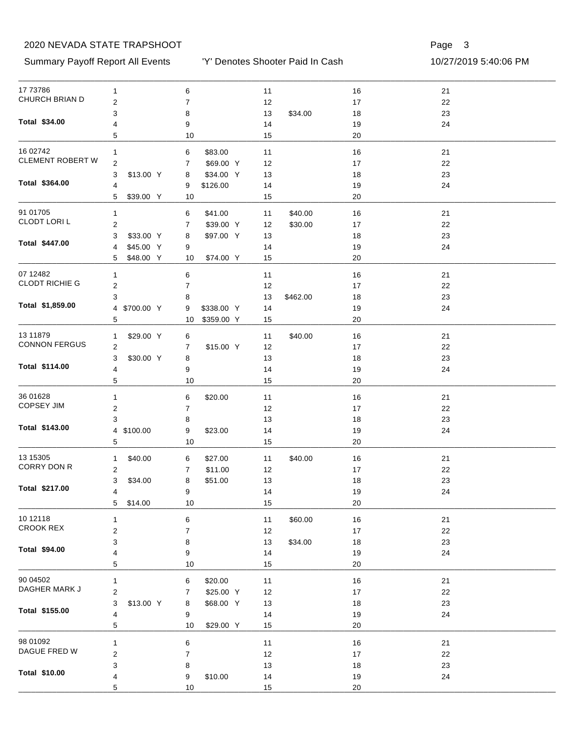#### Summary Payoff Report All Events 10/27/2019 5:40:06 PM

'Y' Denotes Shooter Paid In Cash

| 17 73786                | 1                         | 6                             | 11             | 16       | 21 |  |
|-------------------------|---------------------------|-------------------------------|----------------|----------|----|--|
| CHURCH BRIAN D          | $\overline{2}$            | $\boldsymbol{7}$              | 12             | $17$     | 22 |  |
|                         | 3                         | 8                             | 13<br>\$34.00  | 18       | 23 |  |
| Total \$34.00           | 4                         | 9                             | 14             | 19       | 24 |  |
|                         | 5                         | 10                            | 15             | 20       |    |  |
| 16 02742                | 1                         | \$83.00<br>6                  | 11             | 16       | 21 |  |
| <b>CLEMENT ROBERT W</b> | $\overline{c}$            | \$69.00 Y<br>7                | 12             | 17       | 22 |  |
|                         | 3<br>\$13.00 Y            | \$34.00 Y<br>8                | 13             | 18       | 23 |  |
| Total \$364.00          | 4                         | \$126.00<br>9                 | 14             | 19       | 24 |  |
|                         | 5<br>\$39.00 Y            | 10                            | 15             | 20       |    |  |
| 91 01705                | 1                         | \$41.00<br>6                  | \$40.00<br>11  | 16       | 21 |  |
| CLODT LORI L            | 2                         | \$39.00 Y<br>7                | \$30.00<br>12  | 17       | 22 |  |
|                         | \$33.00 Y<br>3            | \$97.00 Y<br>8                | 13             | 18       | 23 |  |
| Total \$447.00          | \$45.00 Y<br>4            | 9                             | 14             | 19       | 24 |  |
|                         | \$48.00 Y<br>5            | \$74.00 Y<br>10               | 15             | 20       |    |  |
| 07 12482                |                           |                               |                |          |    |  |
| <b>CLODT RICHIE G</b>   | 1                         | 6                             | 11             | 16       | 21 |  |
|                         | 2                         | $\overline{7}$                | 12             | 17       | 22 |  |
| Total \$1,859.00        | 3                         | 8                             | 13<br>\$462.00 | 18       | 23 |  |
|                         | 4 \$700.00 Y              | 9<br>\$338.00 Y<br>\$359.00 Y | 14             | 19<br>20 | 24 |  |
|                         | 5                         | 10                            | 15             |          |    |  |
| 13 11 879               | \$29.00 Y<br>$\mathbf{1}$ | 6                             | \$40.00<br>11  | 16       | 21 |  |
| <b>CONNON FERGUS</b>    | 2                         | \$15.00 Y<br>7                | 12             | 17       | 22 |  |
|                         | 3<br>\$30.00 Y            | 8                             | 13             | 18       | 23 |  |
| Total \$114.00          | 4                         | 9                             | 14             | 19       | 24 |  |
|                         | 5                         | 10                            | 15             | 20       |    |  |
| 36 01628                | 1                         | 6<br>\$20.00                  | 11             | 16       | 21 |  |
| <b>COPSEY JIM</b>       | $\overline{\mathbf{c}}$   | $\boldsymbol{7}$              | 12             | 17       | 22 |  |
|                         | 3                         | 8                             | 13             | 18       | 23 |  |
| Total \$143.00          | 4 \$100.00                | 9<br>\$23.00                  | 14             | 19       | 24 |  |
|                         | 5                         | 10                            | 15             | 20       |    |  |
| 13 15 30 5              | \$40.00<br>$\mathbf{1}$   | \$27.00<br>6                  | \$40.00<br>11  | 16       | 21 |  |
| CORRY DON R             | $\overline{\mathbf{c}}$   | \$11.00<br>7                  | 12             | 17       | 22 |  |
|                         | 3<br>\$34.00              | \$51.00<br>8                  | 13             | 18       | 23 |  |
| Total \$217.00          | 4                         | 9                             | 14             | $19$     | 24 |  |
|                         | 5<br>\$14.00              | 10                            | 15             | 20       |    |  |
| 10 12118                | $\mathbf{1}$              | 6                             | 11<br>\$60.00  | 16       | 21 |  |
| <b>CROOK REX</b>        | $\mathbf 2$               | 7                             | 12             | $17\,$   | 22 |  |
|                         | 3                         | 8                             | 13<br>\$34.00  | 18       | 23 |  |
| Total \$94.00           | 4                         | 9                             | 14             | 19       | 24 |  |
|                         | 5                         | 10                            | 15             | 20       |    |  |
| 90 04502                |                           |                               |                |          |    |  |
| DAGHER MARK J           | 1                         | \$20.00<br>6                  | 11             | 16       | 21 |  |
|                         | $\overline{\mathbf{c}}$   | \$25.00 Y<br>7                | 12             | 17       | 22 |  |
| Total \$155.00          | 3<br>\$13.00 Y            | \$68.00 Y<br>8                | 13             | 18       | 23 |  |
|                         | 4<br>5                    | 9<br>10<br>\$29.00 Y          | 14<br>15       | 19<br>20 | 24 |  |
|                         |                           |                               |                |          |    |  |
| 98 01092                | $\mathbf{1}$              | 6                             | 11             | 16       | 21 |  |
| DAGUE FRED W            | $\overline{\mathbf{c}}$   | 7                             | 12             | $17$     | 22 |  |
| Total \$10.00           | 3                         | 8                             | $13$           | 18       | 23 |  |
|                         | 4                         | \$10.00<br>9                  | 14             | 19       | 24 |  |
|                         | 5                         | 10                            | 15             | 20       |    |  |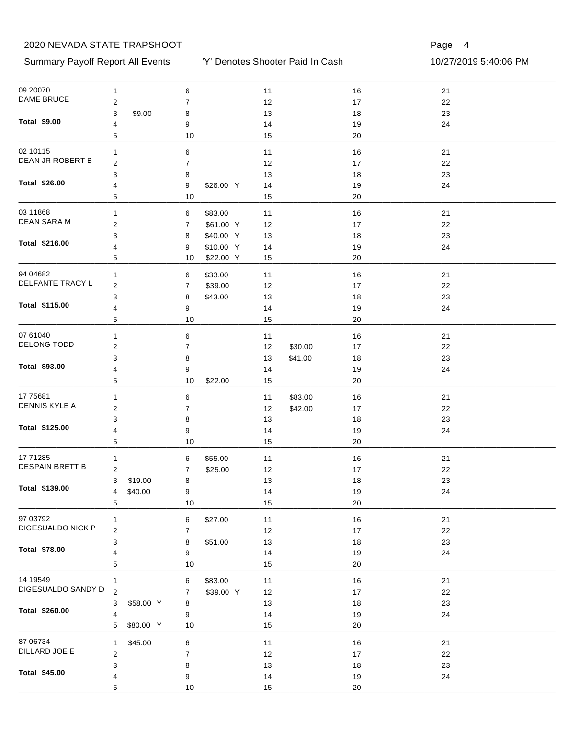Summary Payoff Report All Events 10/27/2019 5:40:06 PM

'Y' Denotes Shooter Paid In Cash

| 09 20070                           | 1                         | 6    |           | $11$ |         | $16$   | 21   |  |
|------------------------------------|---------------------------|------|-----------|------|---------|--------|------|--|
| <b>DAME BRUCE</b>                  | $\overline{\mathbf{c}}$   | 7    |           | 12   |         | 17     | 22   |  |
|                                    | 3<br>\$9.00               | 8    |           | 13   |         | $18$   | 23   |  |
| <b>Total \$9.00</b>                | 4                         | 9    |           | 14   |         | 19     | 24   |  |
|                                    | 5                         | 10   |           | 15   |         | 20     |      |  |
| 02 10115                           | 1                         | 6    |           | 11   |         | $16$   | 21   |  |
| DEAN JR ROBERT B                   | 2                         | 7    |           | 12   |         | 17     | 22   |  |
|                                    | 3                         | 8    |           | 13   |         | 18     | 23   |  |
| Total \$26.00                      | 4                         | 9    | \$26.00 Y | 14   |         | 19     | 24   |  |
|                                    | 5                         | 10   |           | 15   |         | 20     |      |  |
| 03 11868                           |                           |      |           |      |         |        |      |  |
| DEAN SARA M                        | 1                         | 6    | \$83.00   | 11   |         | 16     | 21   |  |
|                                    | 2                         | 7    | \$61.00 Y | 12   |         | 17     | 22   |  |
| Total \$216.00                     | 3                         | 8    | \$40.00 Y | 13   |         | 18     | 23   |  |
|                                    | 4                         | 9    | \$10.00 Y | 14   |         | 19     | 24   |  |
|                                    | 5                         | 10   | \$22.00 Y | 15   |         | 20     |      |  |
| 94 04 682                          | 1                         | 6    | \$33.00   | 11   |         | 16     | 21   |  |
| DELFANTE TRACY L                   | 2                         | 7    | \$39.00   | 12   |         | 17     | 22   |  |
|                                    | 3                         | 8    | \$43.00   | 13   |         | 18     | 23   |  |
| Total \$115.00                     | 4                         | 9    |           | 14   |         | 19     | 24   |  |
|                                    | 5                         | 10   |           | 15   |         | 20     |      |  |
| 07 61040                           | 1                         | 6    |           | 11   |         | 16     | 21   |  |
| DELONG TODD                        | 2                         | 7    |           | 12   | \$30.00 | 17     | 22   |  |
|                                    | 3                         | 8    |           | 13   | \$41.00 | 18     | 23   |  |
| Total \$93.00                      | 4                         | 9    |           | 14   |         | 19     | 24   |  |
|                                    | 5                         | 10   | \$22.00   | 15   |         | 20     |      |  |
| 17 75 681                          | 1                         | 6    |           | 11   | \$83.00 | 16     | 21   |  |
| DENNIS KYLE A                      | 2                         | 7    |           | 12   | \$42.00 | 17     | 22   |  |
|                                    | 3                         | 8    |           | 13   |         | 18     | 23   |  |
| Total \$125.00                     | 4                         | 9    |           | 14   |         | 19     | 24   |  |
|                                    | 5                         | 10   |           | 15   |         | 20     |      |  |
|                                    |                           |      |           |      |         |        |      |  |
| 17 71285<br><b>DESPAIN BRETT B</b> | 1                         | 6    | \$55.00   | 11   |         | 16     | 21   |  |
|                                    | 2                         | 7    | \$25.00   | 12   |         | $17$   | 22   |  |
| Total \$139.00                     | \$19.00<br>3              | 8    |           | 13   |         | 18     | 23   |  |
|                                    | \$40.00<br>$\overline{4}$ | 9    |           | 14   |         | 19     | 24   |  |
|                                    | 5                         | 10   |           | 15   |         | 20     |      |  |
| 97 03792                           | 1                         | 6    | \$27.00   | 11   |         | $16$   | $21$ |  |
| DIGESUALDO NICK P                  | $\boldsymbol{2}$          | 7    |           | 12   |         | 17     | 22   |  |
|                                    | 3                         | 8    | \$51.00   | 13   |         | $18$   | 23   |  |
| Total \$78.00                      | 4                         | 9    |           | 14   |         | 19     | 24   |  |
|                                    | 5                         | $10$ |           | 15   |         | 20     |      |  |
| 14 19549                           | 1                         | 6    | \$83.00   | 11   |         | $16$   | $21$ |  |
| DIGESUALDO SANDY D                 | $\overline{c}$            | 7    | \$39.00 Y | 12   |         | $17\,$ | 22   |  |
|                                    | \$58.00 Y<br>3            | 8    |           | 13   |         | 18     | 23   |  |
| Total \$260.00                     | 4                         | 9    |           | 14   |         | 19     | 24   |  |
|                                    | 5<br>\$80.00 Y            | 10   |           | 15   |         | 20     |      |  |
| 87 06734                           |                           |      |           |      |         |        |      |  |
| DILLARD JOE E                      | \$45.00<br>$\mathbf{1}$   | 6    |           | 11   |         | $16$   | $21$ |  |
|                                    | $\overline{c}$            | 7    |           | 12   |         | $17\,$ | 22   |  |
| Total \$45.00                      | 3                         | 8    |           | 13   |         | $18$   | 23   |  |
|                                    | 4                         | 9    |           | 14   |         | 19     | 24   |  |
|                                    | 5                         | 10   |           | 15   |         | $20\,$ |      |  |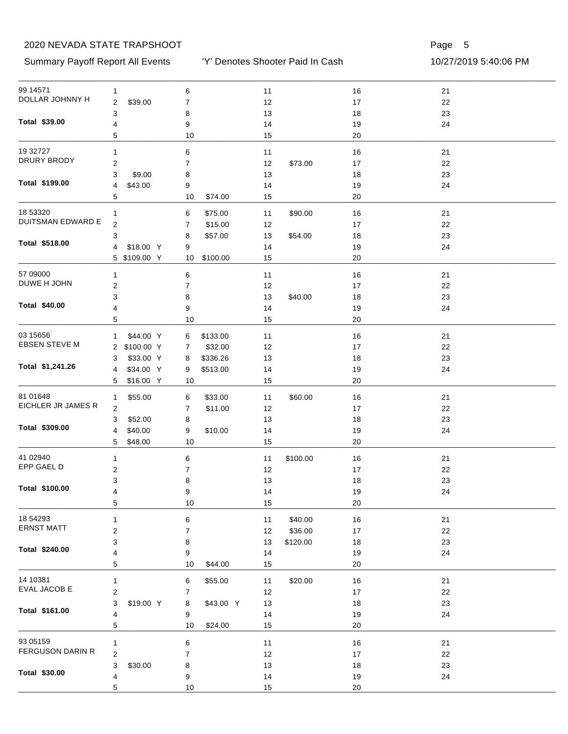Summary Payoff Report All Events 10/27/2019 5:40:06 PM

'Y' Denotes Shooter Paid In Cash

| 99 14571                 | $\mathbf{1}$              | 6                  | 11             | 16       | 21 |  |
|--------------------------|---------------------------|--------------------|----------------|----------|----|--|
| DOLLAR JOHNNY H          | 2<br>\$39.00              | 7                  | 12             | 17       | 22 |  |
|                          | 3                         | 8                  | 13             | 18       | 23 |  |
| Total \$39.00            | 4                         | 9                  | 14             | 19       | 24 |  |
|                          | 5                         | 10                 | 15             | 20       |    |  |
| 19 32727                 | 1                         | $\,6$              | 11             | 16       | 21 |  |
| DRURY BRODY              | 2                         | 7                  | 12<br>\$73.00  | 17       | 22 |  |
|                          | 3<br>\$9.00               | 8                  | 13             | 18       | 23 |  |
| Total \$199.00           | 4<br>\$43.00              | 9                  | 14             | 19       | 24 |  |
|                          | 5                         | 10<br>\$74.00      | 15             | 20       |    |  |
| 18 53320                 | $\mathbf{1}$              | \$75.00<br>6       | \$90.00<br>11  | 16       | 21 |  |
| <b>DUITSMAN EDWARD E</b> | 2                         | 7<br>\$15.00       | 12             | 17       | 22 |  |
|                          | 3                         | \$57.00<br>8       | \$54.00<br>13  | 18       | 23 |  |
| Total \$518.00           | \$18.00 Y<br>4            | 9                  | 14             | 19       | 24 |  |
|                          | 5 \$109.00 Y              | 10<br>\$100.00     | 15             | 20       |    |  |
| 57 09000                 |                           |                    |                |          |    |  |
| DUWE H JOHN              | 1                         | 6                  | 11             | 16       | 21 |  |
|                          | 2                         | 7                  | 12             | 17       | 22 |  |
| Total \$40.00            | 3                         | 8                  | \$40.00<br>13  | 18       | 23 |  |
|                          | 4<br>5                    | 9<br>10            | 14<br>15       | 19<br>20 | 24 |  |
|                          |                           |                    |                |          |    |  |
| 03 15 65 6               | \$44.00 Y<br>$\mathbf{1}$ | \$133.00<br>6      | 11             | 16       | 21 |  |
| <b>EBSEN STEVE M</b>     | 2 \$100.00 Y              | \$32.00<br>7       | 12             | 17       | 22 |  |
|                          | \$33.00 Y<br>3            | \$336.26<br>8      | 13             | 18       | 23 |  |
| Total \$1,241.26         | \$34.00 Y<br>4            | \$513.00<br>9      | 14             | 19       | 24 |  |
|                          | \$16.00 Y<br>5            | 10                 | 15             | 20       |    |  |
| 81 01 648                | \$55.00<br>1              | \$33.00<br>6       | 11<br>\$60.00  | 16       | 21 |  |
| EICHLER JR JAMES R       | 2                         | 7<br>\$11.00       | 12             | 17       | 22 |  |
|                          | \$52.00<br>3              | 8                  | 13             | 18       | 23 |  |
| Total \$309.00           | \$40.00<br>4              | 9<br>\$10.00       | 14             | 19       | 24 |  |
|                          | 5<br>\$48.00              | 10                 | 15             | 20       |    |  |
| 41 02940                 | $\mathbf{1}$              | 6                  | \$100.00<br>11 | 16       | 21 |  |
| EPP GAEL D               | 2                         | 7                  | 12             | 17       | 22 |  |
|                          | 3                         | 8                  | 13             | 18       | 23 |  |
| Total \$100.00           | 4                         | 9                  | 14             | 19       | 24 |  |
|                          | 5                         | 10                 | 15             | 20       |    |  |
| 18 54293                 | 1                         | 6                  | \$40.00<br>11  | 16       | 21 |  |
| <b>ERNST MATT</b>        | 2                         | $\boldsymbol{7}$   | \$36.00<br>12  | 17       | 22 |  |
|                          | 3                         |                    |                |          | 23 |  |
| Total \$240.00           | 4                         | 8                  | 13<br>\$120.00 | 18       | 24 |  |
|                          | 5                         | 9<br>10<br>\$44.00 | 14<br>15       | 19<br>20 |    |  |
|                          |                           |                    |                |          |    |  |
| 14 10381<br>EVAL JACOB E | 1                         | 6<br>\$55.00       | \$20.00<br>11  | 16       | 21 |  |
|                          | 2                         | 7                  | 12             | 17       | 22 |  |
| Total \$161.00           | 3<br>\$19.00 Y            | \$43.00 Y<br>8     | 13             | 18       | 23 |  |
|                          | 4                         | 9                  | 14             | 19       | 24 |  |
|                          | 5                         | 10<br>\$24.00      | 15             | 20       |    |  |
| 93 05159                 | 1                         | 6                  | 11             | 16       | 21 |  |
| FERGUSON DARIN R         | 2                         | 7                  | 12             | 17       | 22 |  |
|                          | 3<br>\$30.00              | 8                  | 13             | 18       | 23 |  |
| Total \$30.00            | 4                         | 9                  | 14             | 19       | 24 |  |
|                          | 5                         | 10                 | 15             | $20\,$   |    |  |
|                          |                           |                    |                |          |    |  |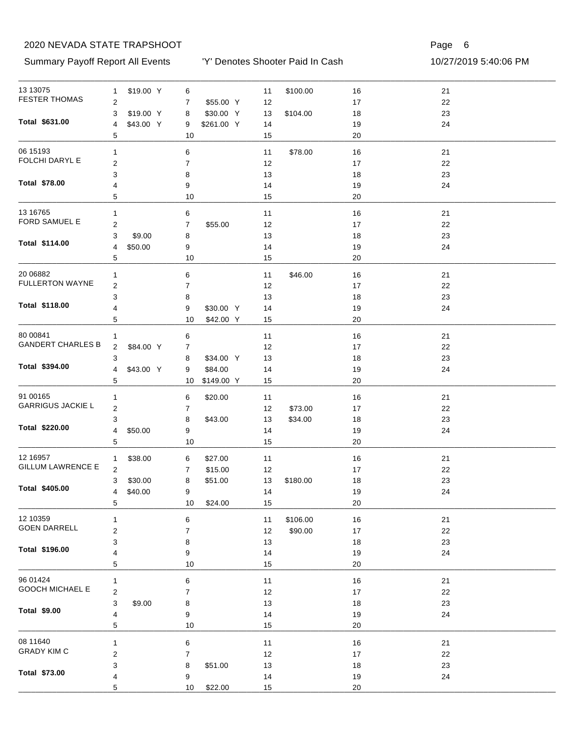Summary Payoff Report All Events 10/27/2019 5:40:06 PM

'Y' Denotes Shooter Paid In Cash

| 13 13 075                | $\mathbf{1}$            | \$19.00 Y | 6                |            | 11   | \$100.00 | 16   | 21 |  |
|--------------------------|-------------------------|-----------|------------------|------------|------|----------|------|----|--|
| <b>FESTER THOMAS</b>     | 2                       |           | 7                | \$55.00 Y  | 12   |          | $17$ | 22 |  |
|                          | 3                       | \$19.00 Y | 8                | \$30.00 Y  | 13   | \$104.00 | 18   | 23 |  |
| Total \$631.00           | 4                       | \$43.00 Y | 9                | \$261.00 Y | 14   |          | 19   | 24 |  |
|                          | 5                       |           | 10               |            | 15   |          | 20   |    |  |
| 06 15193                 | 1                       |           | 6                |            | 11   | \$78.00  | 16   | 21 |  |
| FOLCHI DARYL E           | 2                       |           | $\overline{7}$   |            | 12   |          | 17   | 22 |  |
|                          | 3                       |           | 8                |            | 13   |          | 18   | 23 |  |
| Total \$78.00            | 4                       |           | 9                |            | 14   |          | 19   | 24 |  |
|                          | 5                       |           | 10               |            | 15   |          | 20   |    |  |
| 13 16765                 | 1                       |           | 6                |            | 11   |          | 16   | 21 |  |
| FORD SAMUEL E            | $\overline{\mathbf{c}}$ |           | $\boldsymbol{7}$ | \$55.00    | 12   |          | 17   | 22 |  |
|                          | 3                       | \$9.00    | 8                |            | 13   |          | 18   | 23 |  |
| Total \$114.00           | 4                       | \$50.00   | 9                |            | 14   |          | 19   | 24 |  |
|                          | 5                       |           | 10               |            | 15   |          | 20   |    |  |
| 20 06882                 | 1                       |           | 6                |            | 11   | \$46.00  | 16   | 21 |  |
| <b>FULLERTON WAYNE</b>   |                         |           |                  |            |      |          |      |    |  |
|                          | 2                       |           | 7                |            | 12   |          | 17   | 22 |  |
| Total \$118.00           | 3                       |           | 8                |            | 13   |          | 18   | 23 |  |
|                          | 4                       |           | 9                | \$30.00 Y  | 14   |          | 19   | 24 |  |
|                          | 5                       |           | 10               | \$42.00 Y  | 15   |          | 20   |    |  |
| 80 00841                 | 1                       |           | 6                |            | 11   |          | 16   | 21 |  |
| <b>GANDERT CHARLES B</b> | 2                       | \$84.00 Y | 7                |            | 12   |          | 17   | 22 |  |
|                          | 3                       |           | 8                | \$34.00 Y  | 13   |          | 18   | 23 |  |
| Total \$394.00           | 4                       | \$43.00 Y | 9                | \$84.00    | 14   |          | 19   | 24 |  |
|                          | 5                       |           | 10               | \$149.00 Y | 15   |          | 20   |    |  |
| 91 00165                 | 1                       |           | 6                | \$20.00    | 11   |          | 16   | 21 |  |
| <b>GARRIGUS JACKIE L</b> | 2                       |           | $\overline{7}$   |            | 12   | \$73.00  | 17   | 22 |  |
|                          | 3                       |           | 8                | \$43.00    | 13   | \$34.00  | 18   | 23 |  |
| Total \$220.00           | 4                       | \$50.00   | 9                |            | 14   |          | 19   | 24 |  |
|                          | 5                       |           | 10               |            | 15   |          | 20   |    |  |
| 12 16 95 7               |                         | \$38.00   |                  | \$27.00    | 11   |          | 16   | 21 |  |
| <b>GILLUM LAWRENCE E</b> | $\mathbf{1}$<br>2       |           | 6                |            |      |          |      |    |  |
|                          |                         |           | 7                | \$15.00    | $12$ |          | 17   | 22 |  |
| Total \$405.00           | 3                       | \$30.00   | 8                | \$51.00    | 13   | \$180.00 | 18   | 23 |  |
|                          | $\overline{4}$          | \$40.00   | 9                |            | 14   |          | $19$ | 24 |  |
|                          | 5                       |           | 10               | \$24.00    | 15   |          | 20   |    |  |
| 12 10359                 | 1                       |           | 6                |            | 11   | \$106.00 | 16   | 21 |  |
| <b>GOEN DARRELL</b>      | 2                       |           | 7                |            | 12   | \$90.00  | 17   | 22 |  |
|                          | 3                       |           | 8                |            | 13   |          | 18   | 23 |  |
| Total \$196.00           | 4                       |           | 9                |            | 14   |          | 19   | 24 |  |
|                          | 5                       |           | 10               |            | 15   |          | 20   |    |  |
| 96 01424                 | 1                       |           | 6                |            | 11   |          | 16   | 21 |  |
| GOOCH MICHAEL E          | $\overline{\mathbf{c}}$ |           | 7                |            | 12   |          | 17   | 22 |  |
|                          | 3                       | \$9.00    | 8                |            | $13$ |          | 18   | 23 |  |
| <b>Total \$9.00</b>      | 4                       |           | 9                |            | 14   |          | 19   | 24 |  |
|                          | 5                       |           | 10               |            | 15   |          | 20   |    |  |
| 08 11640                 |                         |           |                  |            |      |          |      |    |  |
| <b>GRADY KIM C</b>       | $\mathbf{1}$            |           | 6                |            | 11   |          | 16   | 21 |  |
|                          | $\overline{\mathbf{c}}$ |           | 7                |            | 12   |          | 17   | 22 |  |
| Total \$73.00            | 3                       |           | 8                | \$51.00    | $13$ |          | 18   | 23 |  |
|                          | 4                       |           | 9                |            | 14   |          | 19   | 24 |  |
|                          | 5                       |           | 10               | \$22.00    | 15   |          | 20   |    |  |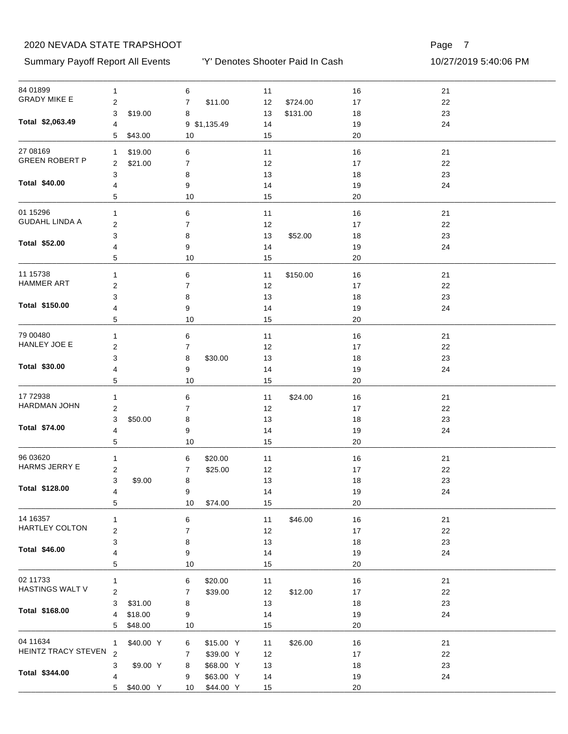Summary Payoff Report All Events 10/27/2019 5:40:06 PM

'Y' Denotes Shooter Paid In Cash

| 84 01899                  | $\mathbf{1}$            |           | 6              |              | 11       |          | $16$     | 21     |
|---------------------------|-------------------------|-----------|----------------|--------------|----------|----------|----------|--------|
| <b>GRADY MIKE E</b>       | $\overline{c}$          |           | $\overline{7}$ | \$11.00      | 12       | \$724.00 | 17       | $22\,$ |
|                           | 3                       | \$19.00   | 8              |              | 13       | \$131.00 | 18       | 23     |
| Total \$2,063.49          | $\overline{4}$          |           |                | 9 \$1,135.49 | 14       |          | 19       | 24     |
|                           | 5                       | \$43.00   | 10             |              | 15       |          | 20       |        |
| 27 08 169                 | 1                       | \$19.00   | 6              |              | 11       |          | $16$     | 21     |
| <b>GREEN ROBERT P</b>     | $\overline{c}$          | \$21.00   | $\overline{7}$ |              | 12       |          | 17       | 22     |
|                           | 3                       |           | 8              |              | 13       |          | $18$     | 23     |
| Total \$40.00             | $\overline{4}$          |           | 9              |              | 14       |          | 19       | 24     |
|                           | 5                       |           | 10             |              | 15       |          | 20       |        |
| 01 15296                  | $\mathbf{1}$            |           | 6              |              |          |          | 16       | 21     |
| <b>GUDAHL LINDA A</b>     | $\overline{c}$          |           | $\overline{7}$ |              | 11       |          | 17       | 22     |
|                           | 3                       |           |                |              | 12       |          |          | 23     |
| Total \$52.00             | 4                       |           | 8<br>9         |              | 13       | \$52.00  | 18       | 24     |
|                           | 5                       |           | 10             |              | 14<br>15 |          | 19<br>20 |        |
|                           |                         |           |                |              |          |          |          |        |
| 11 15738                  | 1                       |           | $\,6$          |              | 11       | \$150.00 | 16       | 21     |
| <b>HAMMER ART</b>         | $\boldsymbol{2}$        |           | $\overline{7}$ |              | 12       |          | 17       | 22     |
|                           | 3                       |           | 8              |              | 13       |          | 18       | 23     |
| Total \$150.00            | 4                       |           | 9              |              | 14       |          | 19       | 24     |
|                           | 5                       |           | 10             |              | 15       |          | 20       |        |
| 79 00480                  | $\mathbf{1}$            |           | 6              |              | 11       |          | 16       | 21     |
| HANLEY JOE E              | $\boldsymbol{2}$        |           | $\overline{7}$ |              | 12       |          | 17       | 22     |
|                           | 3                       |           | 8              | \$30.00      | 13       |          | 18       | 23     |
| Total \$30.00             | 4                       |           | 9              |              | 14       |          | 19       | 24     |
|                           | 5                       |           | 10             |              | 15       |          | 20       |        |
| 17 72938                  | $\mathbf{1}$            |           | 6              |              | 11       | \$24.00  | 16       | 21     |
| <b>HARDMAN JOHN</b>       | 2                       |           | $\overline{7}$ |              | 12       |          | 17       | 22     |
|                           | 3                       | \$50.00   | 8              |              | 13       |          | 18       | 23     |
| Total \$74.00             | 4                       |           | 9              |              | 14       |          | 19       | 24     |
|                           | 5                       |           | 10             |              | 15       |          | 20       |        |
|                           |                         |           |                |              |          |          |          |        |
| 96 03620<br>HARMS JERRY E | $\mathbf{1}$            |           | 6              | \$20.00      | 11       |          | 16       | 21     |
|                           | 2                       |           | 7              | \$25.00      | 12       |          | 17       | 22     |
| Total \$128.00            | 3                       | \$9.00    | 8              |              | 13       |          | 18       | 23     |
|                           | 4                       |           | 9              |              | 14       |          | 19       | 24     |
|                           | 5                       |           | 10             | \$74.00      | 15       |          | 20       |        |
| 14 16357                  | $\mathbf{1}$            |           | 6              |              | 11       | \$46.00  | $16$     | 21     |
| HARTLEY COLTON            | $\boldsymbol{2}$        |           | $\overline{7}$ |              | 12       |          | $17\,$   | 22     |
|                           | 3                       |           | 8              |              | 13       |          | $18$     | 23     |
| <b>Total \$46.00</b>      | $\overline{4}$          |           | 9              |              | 14       |          | 19       | 24     |
|                           | 5                       |           | 10             |              | 15       |          | 20       |        |
| 02 11733                  | $\mathbf{1}$            |           | 6              | \$20.00      | 11       |          | $16$     | 21     |
| HASTINGS WALT V           | $\overline{\mathbf{c}}$ |           | 7              | \$39.00      | 12       | \$12.00  | 17       | 22     |
|                           | 3                       | \$31.00   | 8              |              | 13       |          | 18       | 23     |
| Total \$168.00            | 4                       | \$18.00   | 9              |              | 14       |          | 19       | 24     |
|                           | 5                       | \$48.00   | 10             |              | 15       |          | 20       |        |
| 04 11634                  |                         |           |                |              |          |          |          |        |
| HEINTZ TRACY STEVEN       | 1<br>$\overline{2}$     | \$40.00 Y | 6              | \$15.00 Y    | 11       | \$26.00  | 16       | 21     |
|                           |                         |           | 7              | \$39.00 Y    | 12       |          | 17       | 22     |
| Total \$344.00            | 3                       | \$9.00 Y  | 8              | \$68.00 Y    | 13       |          | $18$     | 23     |
|                           | 4                       |           | 9              | \$63.00 Y    | 14       |          | 19       | 24     |
|                           | 5                       | \$40.00 Y | 10             | \$44.00 Y    | 15       |          | $20\,$   |        |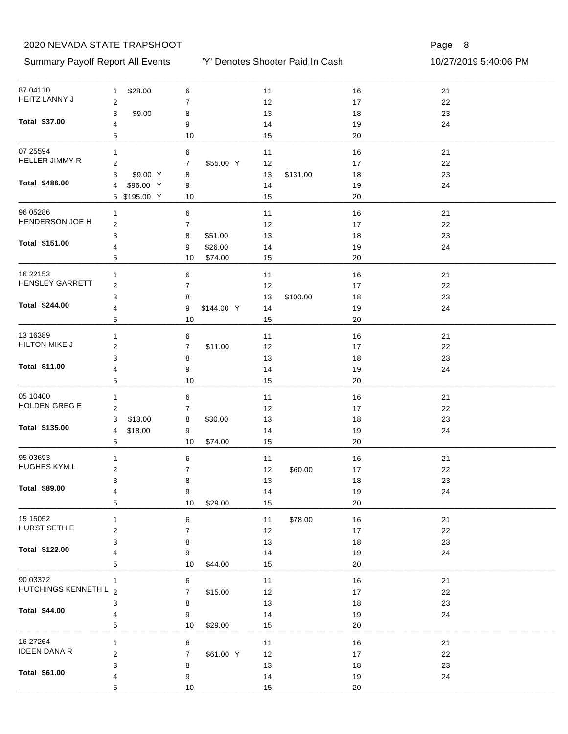#### Summary Payoff Report All Events 10/27/2019 5:40:06 PM

'Y' Denotes Shooter Paid In Cash

| 87 04110                          | \$28.00<br>$\mathbf{1}$ | 6                  | $11$           | 16       | 21 |  |
|-----------------------------------|-------------------------|--------------------|----------------|----------|----|--|
| <b>HEITZ LANNY J</b>              | $\overline{2}$          | 7                  | 12             | $17\,$   | 22 |  |
|                                   | 3<br>\$9.00             | 8                  | 13             | 18       | 23 |  |
| Total \$37.00                     | 4                       | 9                  | 14             | 19       | 24 |  |
|                                   | 5                       | 10                 | 15             | 20       |    |  |
| 07 25594                          | 1                       | 6                  | $11$           | 16       | 21 |  |
| <b>HELLER JIMMY R</b>             | $\overline{\mathbf{c}}$ | \$55.00 Y<br>7     | 12             | 17       | 22 |  |
|                                   | 3<br>\$9.00 Y           | 8                  | 13<br>\$131.00 | 18       | 23 |  |
| Total \$486.00                    | \$96.00 Y<br>4          | 9                  | 14             | 19       | 24 |  |
|                                   | 5 \$195.00 Y            | 10                 | 15             | 20       |    |  |
| 96 05286                          | 1                       | 6                  | 11             | 16       | 21 |  |
| HENDERSON JOE H                   | $\overline{\mathbf{c}}$ | 7                  | 12             | 17       | 22 |  |
|                                   | 3                       | 8<br>\$51.00       | 13             | 18       | 23 |  |
| Total \$151.00                    | 4                       | \$26.00<br>9       | 14             | 19       | 24 |  |
|                                   | 5                       | \$74.00<br>10      | 15             | 20       |    |  |
| 16 22 153                         |                         |                    |                |          |    |  |
| <b>HENSLEY GARRETT</b>            | $\mathbf{1}$            | 6                  | 11             | 16       | 21 |  |
|                                   | $\boldsymbol{2}$        | 7                  | 12             | 17       | 22 |  |
| Total \$244.00                    | 3                       | 8                  | 13<br>\$100.00 | 18       | 23 |  |
|                                   | 4                       | 9<br>\$144.00 Y    | 14             | 19       | 24 |  |
|                                   | 5                       | 10                 | 15             | 20       |    |  |
| 13 16 389                         | $\mathbf{1}$            | 6                  | 11             | 16       | 21 |  |
| <b>HILTON MIKE J</b>              | $\overline{c}$          | \$11.00<br>7       | 12             | 17       | 22 |  |
|                                   | 3                       | 8                  | 13             | 18       | 23 |  |
| Total \$11.00                     | 4                       | 9                  | 14             | 19       | 24 |  |
|                                   | 5                       | $10$               | 15             | 20       |    |  |
| 05 10400                          | 1                       | 6                  | 11             | 16       | 21 |  |
| <b>HOLDEN GREG E</b>              | $\overline{2}$          | 7                  | 12             | 17       | 22 |  |
|                                   | 3<br>\$13.00            | 8<br>\$30.00       | 13             | 18       | 23 |  |
| Total \$135.00                    | 4<br>\$18.00            | 9                  | 14             | 19       | 24 |  |
|                                   | 5                       | 10<br>\$74.00      | 15             | 20       |    |  |
| 95 03693                          | 1                       | 6                  | 11             | 16       | 21 |  |
| HUGHES KYM L                      | $\overline{c}$          | 7                  | 12<br>\$60.00  | 17       | 22 |  |
|                                   | 3                       | 8                  | 13             | 18       | 23 |  |
| Total \$89.00                     | 4                       | 9                  | 14             | $19$     | 24 |  |
|                                   | 5                       | 10<br>\$29.00      | 15             | 20       |    |  |
| 15 15 052                         | 1                       |                    | \$78.00        | $16\,$   | 21 |  |
| HURST SETH E                      | $\boldsymbol{2}$        | 6<br>7             | 11<br>12       |          |    |  |
|                                   |                         |                    |                | $17\,$   | 22 |  |
| Total \$122.00                    | 3                       | 8                  | 13             | 18       | 23 |  |
|                                   | 4<br>5                  | 9<br>10<br>\$44.00 | 14<br>15       | 19<br>20 | 24 |  |
|                                   |                         |                    |                |          |    |  |
| 90 03372<br>HUTCHINGS KENNETH L 2 | 1                       | 6                  | 11             | $16$     | 21 |  |
|                                   |                         | 7<br>\$15.00       | 12             | 17       | 22 |  |
| Total \$44.00                     | 3                       | 8                  | 13             | 18       | 23 |  |
|                                   | 4                       | 9                  | 14             | 19       | 24 |  |
|                                   | 5                       | 10<br>\$29.00      | 15             | 20       |    |  |
| 16 27 264                         | $\mathbf{1}$            | 6                  | 11             | $16\,$   | 21 |  |
| <b>IDEEN DANA R</b>               | $\boldsymbol{2}$        | \$61.00 Y<br>7     | 12             | $17\,$   | 22 |  |
|                                   | 3                       | 8                  | 13             | 18       | 23 |  |
| Total \$61.00                     | 4                       | 9                  | 14             | 19       | 24 |  |
|                                   | 5                       | 10                 | 15             | $20\,$   |    |  |
|                                   |                         |                    |                |          |    |  |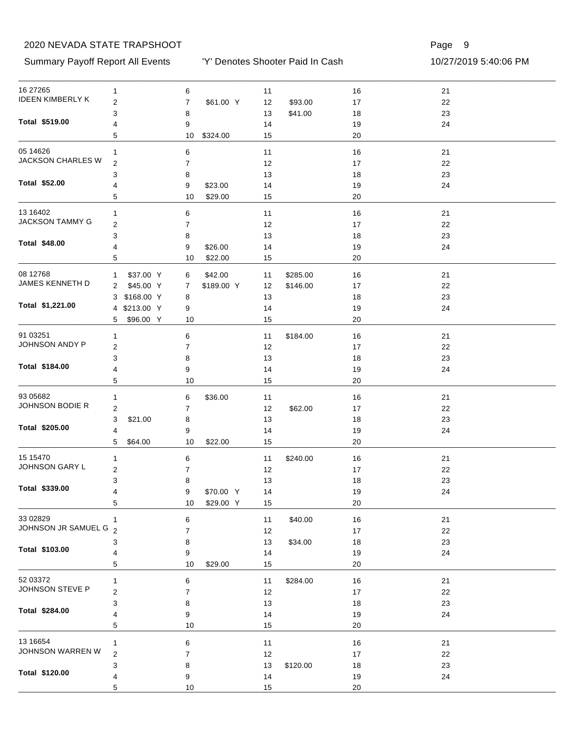#### Summary Payoff Report All Events 10/27/2019 5:40:06 PM

'Y' Denotes Shooter Paid In Cash

| 16 27 265               | $\mathbf{1}$     | 6                           | 11             | 16         | 21       |  |
|-------------------------|------------------|-----------------------------|----------------|------------|----------|--|
| <b>IDEEN KIMBERLY K</b> | 2                | $\overline{7}$<br>\$61.00 Y | \$93.00<br>12  | $17\,$     | 22       |  |
|                         | 3                | 8                           | \$41.00<br>13  | 18         | 23       |  |
| Total \$519.00          | 4                | 9                           | 14             | 19         | 24       |  |
|                         | 5                | 10<br>\$324.00              | 15             | 20         |          |  |
| 05 14626                | 1                | 6                           | 11             | $16$       | 21       |  |
| JACKSON CHARLES W       | $\overline{2}$   | 7                           | 12             | 17         | 22       |  |
|                         | 3                | 8                           | 13             | 18         | 23       |  |
| Total \$52.00           | 4                | \$23.00<br>9                | 14             | 19         | 24       |  |
|                         | 5                | 10<br>\$29.00               | 15             | 20         |          |  |
| 13 16402                | $\mathbf{1}$     | 6                           | 11             | 16         | 21       |  |
| <b>JACKSON TAMMY G</b>  | $\boldsymbol{2}$ | 7                           | 12             | 17         | 22       |  |
|                         | 3                | 8                           | 13             | 18         | 23       |  |
| Total \$48.00           | 4                | \$26.00<br>9                | 14             | 19         | 24       |  |
|                         | 5                | 10<br>\$22.00               | 15             | 20         |          |  |
| 08 12768                |                  |                             |                |            |          |  |
| JAMES KENNETH D         | \$37.00 Y<br>1   | \$42.00<br>6                | \$285.00<br>11 | 16         | 21       |  |
|                         | \$45.00 Y<br>2   | \$189.00 Y<br>7             | \$146.00<br>12 | 17         | 22       |  |
| Total \$1,221.00        | 3 \$168.00 Y     | 8                           | 13             | 18         | 23       |  |
|                         | 4 \$213.00 Y     | 9                           | 14             | 19         | 24       |  |
|                         | \$96.00 Y<br>5   | 10                          | 15             | 20         |          |  |
| 91 03251                | $\mathbf{1}$     | 6                           | \$184.00<br>11 | 16         | 21       |  |
| JOHNSON ANDY P          | $\overline{2}$   | 7                           | 12             | 17         | 22       |  |
|                         | 3                | 8                           | 13             | 18         | 23       |  |
| Total \$184.00          | 4                | 9                           | 14             | 19         | 24       |  |
|                         | 5                | 10                          | 15             | 20         |          |  |
| 93 05 682               | 1                | 6<br>\$36.00                | 11             | 16         | 21       |  |
| JOHNSON BODIE R         | 2                | $\overline{7}$              | 12<br>\$62.00  | 17         | 22       |  |
|                         | 3<br>\$21.00     | 8                           | 13             | 18         | 23       |  |
| Total \$205.00          | 4                | 9                           | 14             | 19         | 24       |  |
|                         | 5<br>\$64.00     | 10<br>\$22.00               | 15             | 20         |          |  |
| 15 15 470               | 1                | 6                           | \$240.00<br>11 | 16         | 21       |  |
| JOHNSON GARY L          | $\boldsymbol{2}$ |                             |                |            |          |  |
|                         | 3                | 7                           | 12<br>13       | 17         | 22<br>23 |  |
| Total \$339.00          | 4                | 8<br>\$70.00 Y<br>9         | 14             | 18<br>$19$ | 24       |  |
|                         | 5                | \$29.00 Y<br>10             | 15             | 20         |          |  |
|                         |                  |                             |                |            |          |  |
| 33 02829                | $\mathbf{1}$     | 6                           | \$40.00<br>11  | $16\,$     | 21       |  |
| JOHNSON JR SAMUEL G 2   |                  | 7                           | 12             | $17\,$     | 22       |  |
| Total \$103.00          | 3                | 8                           | 13<br>\$34.00  | 18         | 23       |  |
|                         | 4                | 9                           | 14             | $19$       | 24       |  |
|                         | 5                | 10<br>\$29.00               | 15             | 20         |          |  |
| 52 03372                | 1                | 6                           | \$284.00<br>11 | $16\,$     | 21       |  |
| JOHNSON STEVE P         | 2                | 7                           | 12             | $17\,$     | 22       |  |
|                         | 3                | 8                           | 13             | 18         | 23       |  |
| Total \$284.00          | 4                | 9                           | 14             | 19         | 24       |  |
|                         | 5                | $10$                        | 15             | 20         |          |  |
| 13 16 654               | 1                | 6                           | 11             | $16\,$     | 21       |  |
| JOHNSON WARREN W        | 2                | 7                           | 12             | 17         | 22       |  |
|                         | 3                | 8                           | 13<br>\$120.00 | 18         | 23       |  |
| Total \$120.00          | 4                | 9                           | 14             | 19         | 24       |  |
|                         | 5                | 10                          | 15             | 20         |          |  |
|                         |                  |                             |                |            |          |  |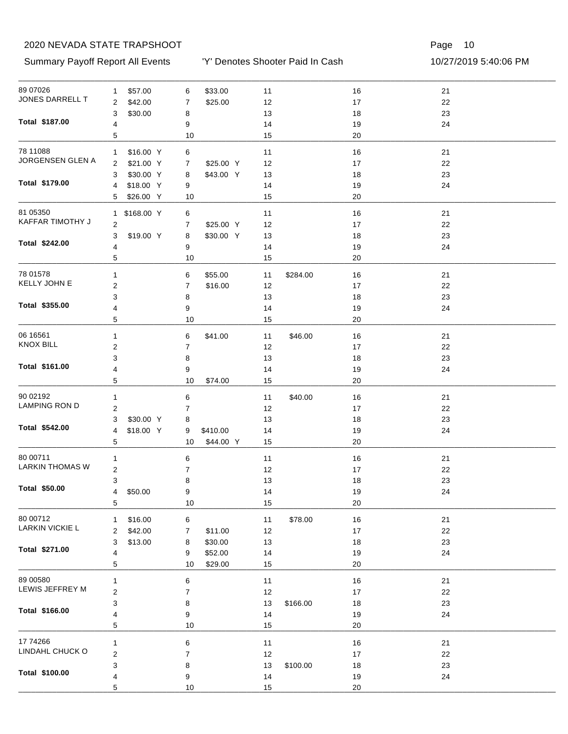Summary Payoff Report All Events 10/27/2019 5:40:06 PM

'Y' Denotes Shooter Paid In Cash

| 89 07026                           | \$57.00<br>$\mathbf{1}$            | \$33.00<br>6                     | $11$           | $16$     | 21       |
|------------------------------------|------------------------------------|----------------------------------|----------------|----------|----------|
| JONES DARRELL T                    | $\overline{c}$<br>\$42.00          | \$25.00<br>7                     | 12             | 17       | $22\,$   |
|                                    | 3<br>\$30.00                       | 8                                | 13             | $18$     | 23       |
| Total \$187.00                     | 4                                  | 9                                | 14             | 19       | 24       |
|                                    | 5                                  | 10                               | 15             | 20       |          |
| 78 11088                           | \$16.00 Y<br>$\mathbf{1}$          | 6                                | 11             | $16$     | 21       |
| JORGENSEN GLEN A                   | \$21.00 Y<br>2                     | \$25.00 Y<br>7                   | 12             | 17       | 22       |
|                                    | \$30.00 Y<br>3                     | \$43.00 Y<br>8                   | 13             | 18       | 23       |
| Total \$179.00                     | 4                                  |                                  |                |          | 24       |
|                                    | \$18.00 Y<br>\$26.00 Y<br>5        | 9<br>10                          | 14<br>15       | 19<br>20 |          |
|                                    |                                    |                                  |                |          |          |
| 81 05350<br>KAFFAR TIMOTHY J       | \$168.00 Y<br>$\mathbf{1}$         | 6                                | 11             | 16       | 21       |
|                                    | $\overline{2}$                     | \$25.00 Y<br>7                   | 12             | 17       | 22       |
| Total \$242.00                     | 3<br>\$19.00 Y                     | \$30.00 Y<br>8                   | 13             | 18       | 23       |
|                                    | 4                                  | 9                                | 14             | 19       | 24       |
|                                    | 5                                  | 10                               | 15             | 20       |          |
| 78 01578                           | $\mathbf{1}$                       | 6<br>\$55.00                     | 11<br>\$284.00 | 16       | 21       |
| KELLY JOHN E                       | $\boldsymbol{2}$                   | 7<br>\$16.00                     | 12             | 17       | 22       |
|                                    | 3                                  | 8                                | 13             | 18       | 23       |
| Total \$355.00                     | 4                                  | 9                                | 14             | 19       | 24       |
|                                    | 5                                  | 10                               | 15             | 20       |          |
| 06 16561                           | 1                                  | 6<br>\$41.00                     | \$46.00<br>11  | 16       | 21       |
| <b>KNOX BILL</b>                   | $\overline{c}$                     | $\overline{7}$                   | 12             | 17       | 22       |
|                                    | 3                                  | 8                                | 13             | 18       | 23       |
| Total \$161.00                     | 4                                  | 9                                | 14             | 19       | 24       |
|                                    | 5                                  | 10<br>\$74.00                    | 15             | 20       |          |
| 90 02192                           |                                    |                                  |                |          |          |
| <b>LAMPING RON D</b>               | $\mathbf{1}$                       | 6                                | 11<br>\$40.00  | 16       | 21       |
|                                    | $\overline{\mathbf{c}}$            | $\overline{7}$                   | 12             | 17       | 22       |
| Total \$542.00                     | 3<br>\$30.00 Y<br>\$18.00 Y<br>4   | 8                                | 13             | 18       | 23<br>24 |
|                                    | 5                                  | \$410.00<br>9<br>\$44.00 Y<br>10 | 14<br>15       | 19<br>20 |          |
|                                    |                                    |                                  |                |          |          |
| 80 00711<br><b>LARKIN THOMAS W</b> | $\mathbf{1}$                       | 6                                | 11             | 16       | 21       |
|                                    | $\mathbf 2$                        | 7                                | 12             | 17       | 22       |
| Total \$50.00                      | 3                                  | 8                                | 13             | 18       | 23       |
|                                    | \$50.00<br>$\overline{4}$          | 9                                | 14             | 19       | 24       |
|                                    | 5                                  | 10                               | 15             | 20       |          |
| 80 00712                           | \$16.00<br>1                       | 6                                | 11<br>\$78.00  | $16$     | 21       |
| <b>LARKIN VICKIE L</b>             | $\overline{\mathbf{c}}$<br>\$42.00 | \$11.00<br>7                     | 12             | 17       | 22       |
|                                    | 3<br>\$13.00                       | \$30.00<br>8                     | 13             | $18$     | 23       |
| Total \$271.00                     | 4                                  | \$52.00<br>9                     | 14             | 19       | 24       |
|                                    | 5                                  | \$29.00<br>10                    | 15             | 20       |          |
| 89 00580                           | 1                                  | 6                                | 11             | $16$     | 21       |
| LEWIS JEFFREY M                    | $\boldsymbol{2}$                   | 7                                | 12             | 17       | $22\,$   |
|                                    | 3                                  | 8                                | 13<br>\$166.00 | 18       | 23       |
| Total \$166.00                     | 4                                  | 9                                | 14             | 19       | 24       |
|                                    | 5                                  | $10$                             | 15             | 20       |          |
|                                    |                                    |                                  |                |          |          |
| 17 74 266<br>LINDAHL CHUCK O       | 1                                  | 6                                | 11             | $16$     | 21       |
|                                    | $\overline{\mathbf{c}}$            | 7                                | 12             | 17       | $22\,$   |
| Total \$100.00                     | 3                                  | 8                                | 13<br>\$100.00 | 18       | 23       |
|                                    | 4                                  | 9                                | 14             | 19       | 24       |
|                                    | 5                                  | 10                               | 15             | 20       |          |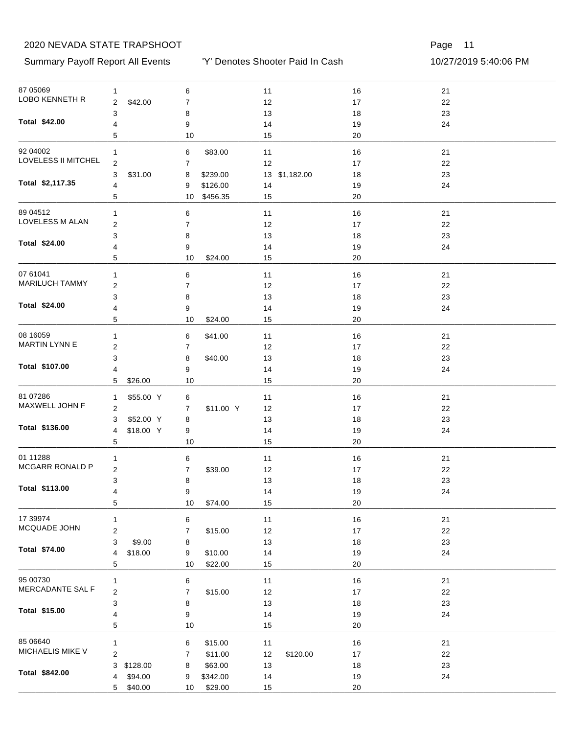#### Summary Payoff Report All Events 10/27/2019 5:40:06 PM

'Y' Denotes Shooter Paid In Cash

| 87 05069                         | 1                       |           | 6                |                      | 11       |               | 16       | 21   |  |
|----------------------------------|-------------------------|-----------|------------------|----------------------|----------|---------------|----------|------|--|
| LOBO KENNETH R                   | $\overline{\mathbf{c}}$ | \$42.00   | $\boldsymbol{7}$ |                      | 12       |               | $17$     | 22   |  |
|                                  | 3                       |           | 8                |                      | 13       |               | 18       | 23   |  |
| Total \$42.00                    | 4                       |           | 9                |                      | 14       |               | 19       | 24   |  |
|                                  | 5                       |           | 10               |                      | 15       |               | 20       |      |  |
| 92 04 002                        | 1                       |           | 6                | \$83.00              | 11       |               | 16       | 21   |  |
| LOVELESS II MITCHEL              | $\overline{2}$          |           | $\overline{7}$   |                      |          |               | 17       | 22   |  |
|                                  | 3                       | \$31.00   |                  | \$239.00             | 12       | 13 \$1,182.00 | 18       | 23   |  |
| Total \$2,117.35                 | 4                       |           | 8                |                      |          |               |          | 24   |  |
|                                  | 5                       |           | 9<br>10          | \$126.00<br>\$456.35 | 14<br>15 |               | 19<br>20 |      |  |
|                                  |                         |           |                  |                      |          |               |          |      |  |
| 89 04512                         | 1                       |           | 6                |                      | 11       |               | 16       | 21   |  |
| LOVELESS M ALAN                  | $\overline{\mathbf{c}}$ |           | $\boldsymbol{7}$ |                      | 12       |               | 17       | 22   |  |
| Total \$24.00                    | 3                       |           | 8                |                      | 13       |               | 18       | 23   |  |
|                                  | 4                       |           | 9                |                      | 14       |               | 19       | 24   |  |
|                                  | 5                       |           | 10               | \$24.00              | 15       |               | 20       |      |  |
| 07 61041                         | 1                       |           | 6                |                      | 11       |               | 16       | 21   |  |
| <b>MARILUCH TAMMY</b>            | 2                       |           | 7                |                      | 12       |               | 17       | 22   |  |
|                                  | 3                       |           | 8                |                      | 13       |               | 18       | 23   |  |
| Total \$24.00                    | 4                       |           | 9                |                      | 14       |               | 19       | 24   |  |
|                                  | 5                       |           | 10               | \$24.00              | 15       |               | 20       |      |  |
|                                  |                         |           |                  |                      |          |               |          |      |  |
| 08 16059<br><b>MARTIN LYNN E</b> | $\mathbf{1}$            |           | 6                | \$41.00              | 11       |               | 16       | 21   |  |
|                                  | $\overline{\mathbf{c}}$ |           | $\overline{7}$   |                      | 12       |               | 17       | 22   |  |
| Total \$107.00                   | 3                       |           | 8                | \$40.00              | 13       |               | 18       | 23   |  |
|                                  | 4                       |           | 9                |                      | 14       |               | 19       | 24   |  |
|                                  | 5                       | \$26.00   | 10               |                      | 15       |               | 20       |      |  |
| 81 07286                         | 1                       | \$55.00 Y | 6                |                      | 11       |               | 16       | 21   |  |
| MAXWELL JOHN F                   | 2                       |           | 7                | \$11.00 Y            | 12       |               | 17       | 22   |  |
|                                  | 3                       | \$52.00 Y | 8                |                      | 13       |               | 18       | 23   |  |
| Total \$136.00                   | 4                       | \$18.00 Y | 9                |                      | 14       |               | 19       | 24   |  |
|                                  | 5                       |           | 10               |                      | 15       |               | 20       |      |  |
| 01 11288                         | 1                       |           | 6                |                      | 11       |               | 16       | 21   |  |
| MCGARR RONALD P                  | $\overline{\mathbf{c}}$ |           | $\overline{7}$   | \$39.00              | 12       |               | 17       | 22   |  |
|                                  | 3                       |           | 8                |                      | 13       |               | 18       | 23   |  |
| Total \$113.00                   | 4                       |           | 9                |                      | 14       |               | 19       | 24   |  |
|                                  | 5                       |           | 10               | \$74.00              | 15       |               | 20       |      |  |
|                                  |                         |           |                  |                      |          |               |          |      |  |
| 17 39974                         | 1                       |           | 6                |                      | 11       |               | 16       | $21$ |  |
| MCQUADE JOHN                     | $\overline{\mathbf{c}}$ |           | 7                | \$15.00              | 12       |               | $17\,$   | 22   |  |
| Total \$74.00                    | 3                       | \$9.00    | 8                |                      | $13$     |               | 18       | 23   |  |
|                                  | 4                       | \$18.00   | 9                | \$10.00              | 14       |               | 19       | 24   |  |
|                                  | 5                       |           | 10               | \$22.00              | 15       |               | 20       |      |  |
| 95 00730                         | 1                       |           | 6                |                      | 11       |               | 16       | 21   |  |
| MERCADANTE SAL F                 | $\overline{\mathbf{c}}$ |           | $\overline{7}$   | \$15.00              | 12       |               | 17       | 22   |  |
|                                  | 3                       |           | 8                |                      | $13$     |               | 18       | 23   |  |
| Total \$15.00                    | 4                       |           | 9                |                      | 14       |               | 19       | 24   |  |
|                                  | 5                       |           | 10               |                      | 15       |               | 20       |      |  |
| 85 06640                         |                         |           |                  |                      |          |               |          |      |  |
| MICHAELIS MIKE V                 | $\mathbf{1}$            |           | 6                | \$15.00              | 11       |               | 16       | $21$ |  |
|                                  | $\overline{\mathbf{c}}$ |           | 7                | \$11.00              | 12       | \$120.00      | $17\,$   | 22   |  |
| Total \$842.00                   | 3                       | \$128.00  | 8                | \$63.00              | $13$     |               | 18       | 23   |  |
|                                  | 4                       | \$94.00   | 9                | \$342.00             | 14       |               | 19       | 24   |  |
|                                  | 5                       | \$40.00   | 10               | \$29.00              | 15       |               | 20       |      |  |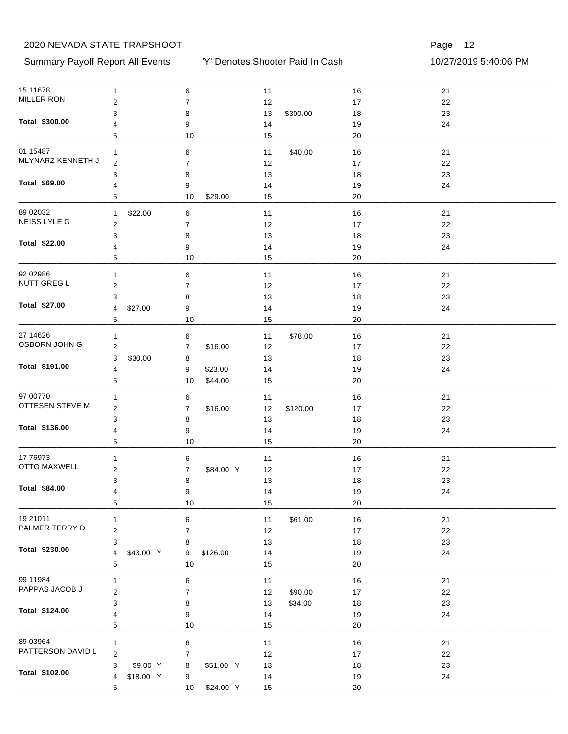#### Summary Payoff Report All Events 10/27/2019 5:40:06 PM

'Y' Denotes Shooter Paid In Cash

| 15 11 678                       | $\mathbf{1}$     |           | 6                |           | $11$ |          | 16     | 21 |
|---------------------------------|------------------|-----------|------------------|-----------|------|----------|--------|----|
| <b>MILLER RON</b>               | $\overline{c}$   |           | $\boldsymbol{7}$ |           | 12   |          | $17\,$ | 22 |
|                                 | 3                |           | 8                |           | 13   | \$300.00 | 18     | 23 |
| Total \$300.00                  | 4                |           | 9                |           | 14   |          | 19     | 24 |
|                                 | 5                |           | 10               |           | 15   |          | 20     |    |
| 01 15487                        | 1                |           | 6                |           | 11   | \$40.00  | 16     | 21 |
| MLYNARZ KENNETH J               | $\overline{c}$   |           | 7                |           | 12   |          | 17     | 22 |
|                                 | 3                |           | 8                |           | 13   |          | 18     | 23 |
| Total \$69.00                   | 4                |           | 9                |           | 14   |          | 19     | 24 |
|                                 | 5                |           | 10               | \$29.00   | 15   |          | 20     |    |
| 89 02032                        | 1                | \$22.00   | 6                |           | 11   |          | 16     | 21 |
| NEISS LYLE G                    | $\overline{c}$   |           | 7                |           | 12   |          | 17     | 22 |
|                                 | 3                |           | 8                |           | 13   |          | 18     | 23 |
| <b>Total \$22.00</b>            | 4                |           | 9                |           | 14   |          | 19     | 24 |
|                                 | 5                |           | 10               |           | 15   |          | 20     |    |
| 92 02986                        |                  |           |                  |           |      |          |        |    |
| NUTT GREG L                     | $\mathbf{1}$     |           | 6                |           | 11   |          | 16     | 21 |
|                                 | $\overline{c}$   |           | 7                |           | 12   |          | 17     | 22 |
| Total \$27.00                   | 3                |           | 8                |           | 13   |          | 18     | 23 |
|                                 | 4                | \$27.00   | 9                |           | 14   |          | 19     | 24 |
|                                 | 5                |           | 10               |           | 15   |          | 20     |    |
| 27 14 62 6                      | 1                |           | 6                |           | 11   | \$78.00  | 16     | 21 |
| OSBORN JOHN G                   | $\overline{c}$   |           | 7                | \$16.00   | 12   |          | 17     | 22 |
|                                 | 3                | \$30.00   | 8                |           | 13   |          | 18     | 23 |
| Total \$191.00                  | 4                |           | 9                | \$23.00   | 14   |          | 19     | 24 |
|                                 | 5                |           | 10               | \$44.00   | 15   |          | 20     |    |
| 97 00770                        | 1                |           | 6                |           | 11   |          | 16     | 21 |
| OTTESEN STEVE M                 | $\boldsymbol{2}$ |           | 7                | \$16.00   | 12   | \$120.00 | 17     | 22 |
|                                 | 3                |           | 8                |           | 13   |          | 18     | 23 |
| Total \$136.00                  | 4                |           | 9                |           | 14   |          | 19     | 24 |
|                                 | 5                |           | 10               |           | 15   |          | 20     |    |
|                                 |                  |           |                  |           |      |          |        |    |
| 17 76973<br><b>OTTO MAXWELL</b> | $\mathbf{1}$     |           | 6                |           | 11   |          | 16     | 21 |
|                                 | $\boldsymbol{2}$ |           | 7                | \$84.00 Y | 12   |          | 17     | 22 |
| Total \$84.00                   | 3                |           | 8                |           | 13   |          | 18     | 23 |
|                                 | 4                |           | 9                |           | 14   |          | 19     | 24 |
|                                 | 5                |           | 10               |           | 15   |          | 20     |    |
| 19 21011                        | $\mathbf{1}$     |           | 6                |           | $11$ | \$61.00  | $16$   | 21 |
| PALMER TERRY D                  | $\boldsymbol{2}$ |           | 7                |           | 12   |          | $17\,$ | 22 |
|                                 | 3                |           | 8                |           | 13   |          | 18     | 23 |
| Total \$230.00                  | 4                | \$43.00 Y | 9                | \$126.00  | 14   |          | 19     | 24 |
|                                 | 5                |           | 10               |           | 15   |          | $20\,$ |    |
| 99 11984                        | 1                |           | 6                |           | $11$ |          | $16$   | 21 |
| PAPPAS JACOB J                  | $\boldsymbol{2}$ |           | $\boldsymbol{7}$ |           | 12   | \$90.00  | $17\,$ | 22 |
|                                 | 3                |           | 8                |           | 13   | \$34.00  | 18     | 23 |
| Total \$124.00                  | 4                |           | 9                |           | 14   |          | 19     | 24 |
|                                 | 5                |           | $10$             |           | 15   |          | $20\,$ |    |
| 89 03964                        |                  |           |                  |           |      |          |        |    |
| PATTERSON DAVID L               | $\mathbf{1}$     |           | 6                |           | $11$ |          | $16$   | 21 |
|                                 | $\overline{c}$   |           | 7                |           | 12   |          | $17$   | 22 |
| Total \$102.00                  | 3                | \$9.00 Y  | 8                | \$51.00 Y | 13   |          | 18     | 23 |
|                                 | 4                | \$18.00 Y | 9                |           | 14   |          | 19     | 24 |
|                                 | 5                |           | 10               | \$24.00 Y | 15   |          | 20     |    |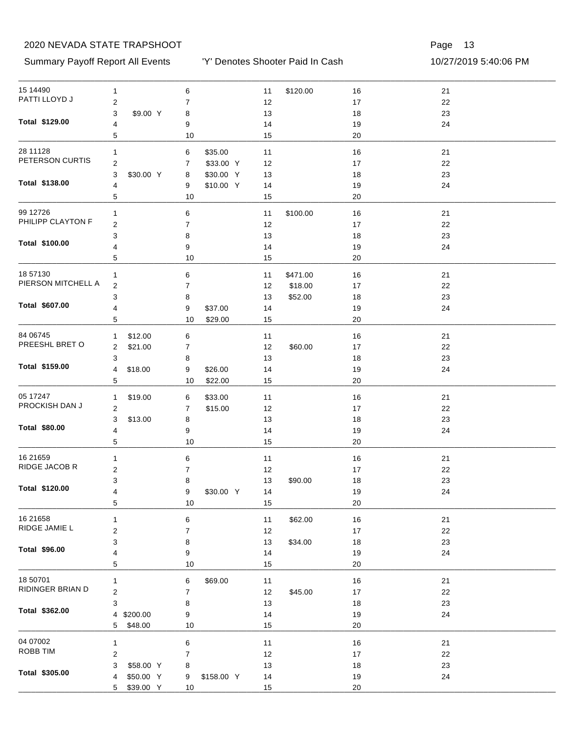Summary Payoff Report All Events 10/27/2019 5:40:06 PM

'Y' Denotes Shooter Paid In Cash

| 15 14490                   | $\mathbf{1}$     | 6                | 11<br>\$120.00 | 16     | 21 |  |
|----------------------------|------------------|------------------|----------------|--------|----|--|
| PATTI LLOYD J              | $\boldsymbol{2}$ | 7                | 12             | $17\,$ | 22 |  |
|                            | 3<br>\$9.00 Y    | 8                | 13             | 18     | 23 |  |
| Total \$129.00             | 4                | 9                | 14             | 19     | 24 |  |
|                            | 5                | 10               | 15             | 20     |    |  |
| 28 11128                   | 1                | \$35.00<br>6     | $11$           | 16     | 21 |  |
| PETERSON CURTIS            | $\overline{c}$   | \$33.00 Y<br>7   | 12             | 17     | 22 |  |
|                            | 3<br>\$30.00 Y   | \$30.00 Y<br>8   | 13             | 18     | 23 |  |
| Total \$138.00             | 4                | \$10.00 Y<br>9   | 14             | 19     | 24 |  |
|                            | 5                | 10               | 15             | 20     |    |  |
| 99 12726                   |                  |                  |                |        |    |  |
| PHILIPP CLAYTON F          | 1                | 6                | \$100.00<br>11 | 16     | 21 |  |
|                            | $\boldsymbol{2}$ | 7                | 12             | 17     | 22 |  |
| Total \$100.00             | 3                | 8                | 13             | 18     | 23 |  |
|                            | 4                | 9                | 14             | 19     | 24 |  |
|                            | 5                | 10               | 15             | 20     |    |  |
| 18 57130                   | 1                | 6                | \$471.00<br>11 | 16     | 21 |  |
| PIERSON MITCHELL A         | $\overline{2}$   | 7                | 12<br>\$18.00  | 17     | 22 |  |
|                            | 3                | 8                | 13<br>\$52.00  | 18     | 23 |  |
| Total \$607.00             | 4                | 9<br>\$37.00     | 14             | 19     | 24 |  |
|                            | 5                | 10<br>\$29.00    | 15             | 20     |    |  |
| 84 06745                   | \$12.00<br>1     | 6                | 11             | 16     | 21 |  |
| PREESHL BRET O             | \$21.00<br>2     | 7                | 12<br>\$60.00  | 17     | 22 |  |
|                            | 3                | 8                | 13             | 18     | 23 |  |
| Total \$159.00             | 4<br>\$18.00     | 9<br>\$26.00     | 14             | 19     | 24 |  |
|                            | 5                | \$22.00<br>10    | 15             | 20     |    |  |
| 05 17247                   | \$19.00<br>1     | 6<br>\$33.00     | 11             | 16     | 21 |  |
| PROCKISH DAN J             | $\overline{2}$   | 7<br>\$15.00     | 12             | 17     | 22 |  |
|                            | 3<br>\$13.00     | 8                | 13             | 18     | 23 |  |
| Total \$80.00              | 4                | 9                | 14             | 19     | 24 |  |
|                            | 5                | 10               | 15             | 20     |    |  |
|                            |                  |                  |                |        |    |  |
| 16 21 659<br>RIDGE JACOB R | 1                | 6                | 11             | 16     | 21 |  |
|                            | $\overline{c}$   | 7                | 12             | 17     | 22 |  |
| Total \$120.00             | 3                | 8                | 13<br>\$90.00  | 18     | 23 |  |
|                            | 4                | \$30.00 Y<br>9   | 14             | $19$   | 24 |  |
|                            | 5                | 10               | 15             | 20     |    |  |
| 16 21 658                  | 1                | 6                | \$62.00<br>11  | $16$   | 21 |  |
| RIDGE JAMIE L              | $\boldsymbol{2}$ | 7                | 12             | $17\,$ | 22 |  |
|                            | 3                | 8                | 13<br>\$34.00  | 18     | 23 |  |
| Total \$96.00              | 4                | 9                | 14             | 19     | 24 |  |
|                            | 5                | $10$             | 15             | 20     |    |  |
| 18 50701                   | 1                | 6<br>\$69.00     | 11             | 16     | 21 |  |
| RIDINGER BRIAN D           | $\boldsymbol{2}$ | $\boldsymbol{7}$ | \$45.00<br>12  | 17     | 22 |  |
|                            | 3                | 8                | 13             | 18     | 23 |  |
| Total \$362.00             | \$200.00<br>4    | 9                | 14             | 19     | 24 |  |
|                            | 5<br>\$48.00     | 10               | 15             | 20     |    |  |
| 04 07002                   |                  |                  |                |        |    |  |
| ROBB TIM                   | $\mathbf{1}$     | 6                | 11             | $16\,$ | 21 |  |
|                            | $\overline{c}$   | 7                | 12             | $17\,$ | 22 |  |
| Total \$305.00             | \$58.00 Y<br>3   | 8                | 13             | 18     | 23 |  |
|                            | \$50.00 Y<br>4   | \$158.00 Y<br>9  | 14             | 19     | 24 |  |
|                            | \$39.00 Y<br>5   | 10               | 15             | $20\,$ |    |  |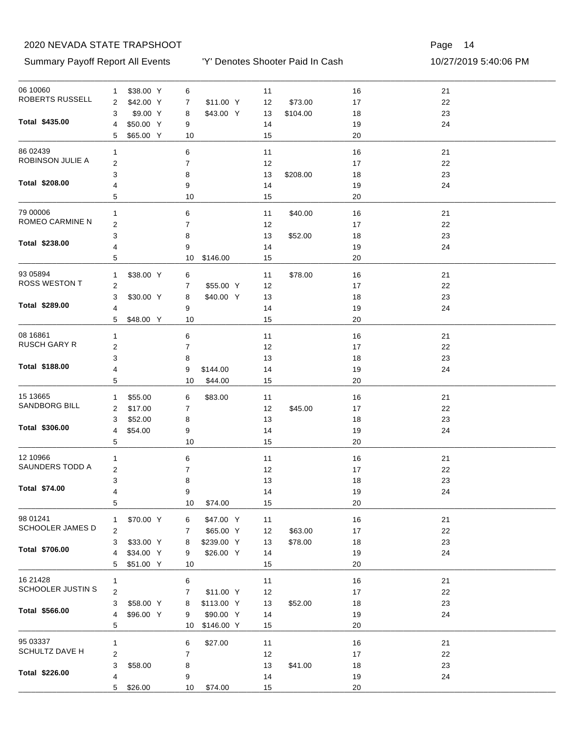Summary Payoff Report All Events

'Y' Denotes Shooter Paid In Cash

|  | 10/27/2019 5:40:06 PM |
|--|-----------------------|
|--|-----------------------|

| 06 10060                  | $\mathbf{1}$   | \$38.00 Y | 6              |            | 11 |          | $16$   | 21 |  |
|---------------------------|----------------|-----------|----------------|------------|----|----------|--------|----|--|
| ROBERTS RUSSELL           | 2              | \$42.00 Y | 7              | \$11.00 Y  | 12 | \$73.00  | 17     | 22 |  |
|                           | 3              | \$9.00 Y  | 8              | \$43.00 Y  | 13 | \$104.00 | 18     | 23 |  |
| Total \$435.00            | 4              | \$50.00 Y | 9              |            | 14 |          | 19     | 24 |  |
|                           | 5              | \$65.00 Y | 10             |            | 15 |          | 20     |    |  |
| 86 02439                  | 1              |           | 6              |            | 11 |          | 16     | 21 |  |
| ROBINSON JULIE A          | 2              |           | 7              |            | 12 |          | 17     | 22 |  |
|                           | 3              |           | 8              |            | 13 | \$208.00 | 18     | 23 |  |
| Total \$208.00            | 4              |           | 9              |            | 14 |          | 19     | 24 |  |
|                           | 5              |           | 10             |            | 15 |          | 20     |    |  |
| 79 00006                  | $\mathbf{1}$   |           | 6              |            | 11 | \$40.00  | 16     | 21 |  |
| ROMEO CARMINE N           | 2              |           | 7              |            | 12 |          | 17     | 22 |  |
|                           | 3              |           | 8              |            | 13 | \$52.00  | 18     | 23 |  |
| Total \$238.00            | 4              |           | 9              |            | 14 |          | 19     | 24 |  |
|                           | 5              |           | 10             | \$146.00   | 15 |          | 20     |    |  |
|                           |                |           |                |            |    |          |        |    |  |
| 93 05894<br>ROSS WESTON T | 1              | \$38.00 Y | 6              |            | 11 | \$78.00  | 16     | 21 |  |
|                           | $\overline{c}$ |           | 7              | \$55.00 Y  | 12 |          | 17     | 22 |  |
| Total \$289.00            | 3              | \$30.00 Y | 8              | \$40.00 Y  | 13 |          | 18     | 23 |  |
|                           | 4              |           | 9              |            | 14 |          | 19     | 24 |  |
|                           | 5              | \$48.00 Y | 10             |            | 15 |          | 20     |    |  |
| 08 16861                  | $\mathbf{1}$   |           | 6              |            | 11 |          | 16     | 21 |  |
| <b>RUSCH GARY R</b>       | $\overline{2}$ |           | 7              |            | 12 |          | 17     | 22 |  |
|                           | 3              |           | 8              |            | 13 |          | 18     | 23 |  |
| Total \$188.00            | 4              |           | 9              | \$144.00   | 14 |          | 19     | 24 |  |
|                           | 5              |           | 10             | \$44.00    | 15 |          | 20     |    |  |
| 15 13665                  | 1              | \$55.00   | 6              | \$83.00    | 11 |          | 16     | 21 |  |
| <b>SANDBORG BILL</b>      | 2              | \$17.00   | 7              |            | 12 | \$45.00  | 17     | 22 |  |
|                           | 3              | \$52.00   | 8              |            | 13 |          | 18     | 23 |  |
| Total \$306.00            | $\overline{4}$ | \$54.00   | 9              |            | 14 |          | 19     | 24 |  |
|                           | 5              |           | 10             |            | 15 |          | 20     |    |  |
|                           |                |           |                |            |    |          |        |    |  |
| 12 10966                  | 1              |           | 6              |            | 11 |          | 16     | 21 |  |
| SAUNDERS TODD A           | 2              |           | 7              |            | 12 |          | 17     | 22 |  |
| Total \$74.00             | 3              |           | 8              |            | 13 |          | 18     | 23 |  |
|                           | 4              |           | 9              |            | 14 |          | 19     | 24 |  |
|                           | 5              |           | 10             | \$74.00    | 15 |          | 20     |    |  |
| 98 01241                  | $\mathbf{1}$   | \$70.00 Y | 6              | \$47.00 Y  | 11 |          | $16$   | 21 |  |
| SCHOOLER JAMES D          | 2              |           | 7              | \$65.00 Y  | 12 | \$63.00  | $17\,$ | 22 |  |
|                           | 3              | \$33.00 Y | 8              | \$239.00 Y | 13 | \$78.00  | 18     | 23 |  |
| Total \$706.00            | 4              | \$34.00 Y | 9              | \$26.00 Y  | 14 |          | 19     | 24 |  |
|                           | 5              | \$51.00 Y | 10             |            | 15 |          | 20     |    |  |
| 16 21 4 28                | 1              |           | 6              |            | 11 |          | $16$   | 21 |  |
| SCHOOLER JUSTIN S         | $\overline{2}$ |           | $\overline{7}$ | \$11.00 Y  | 12 |          | 17     | 22 |  |
|                           | 3              | \$58.00 Y | 8              | \$113.00 Y | 13 | \$52.00  | 18     | 23 |  |
| Total \$566.00            | 4              | \$96.00 Y | 9              | \$90.00 Y  | 14 |          | 19     | 24 |  |
|                           | 5              |           | 10             | \$146.00 Y | 15 |          | 20     |    |  |
|                           |                |           |                |            |    |          |        |    |  |
| 95 03337                  | $\mathbf{1}$   |           | 6              | \$27.00    | 11 |          | 16     | 21 |  |
| SCHULTZ DAVE H            | 2              |           | 7              |            | 12 |          | 17     | 22 |  |
| Total \$226.00            | 3              | \$58.00   | 8              |            | 13 | \$41.00  | 18     | 23 |  |
|                           | 4              |           | 9              |            | 14 |          | 19     | 24 |  |
|                           | 5              | \$26.00   | 10             | \$74.00    | 15 |          | $20\,$ |    |  |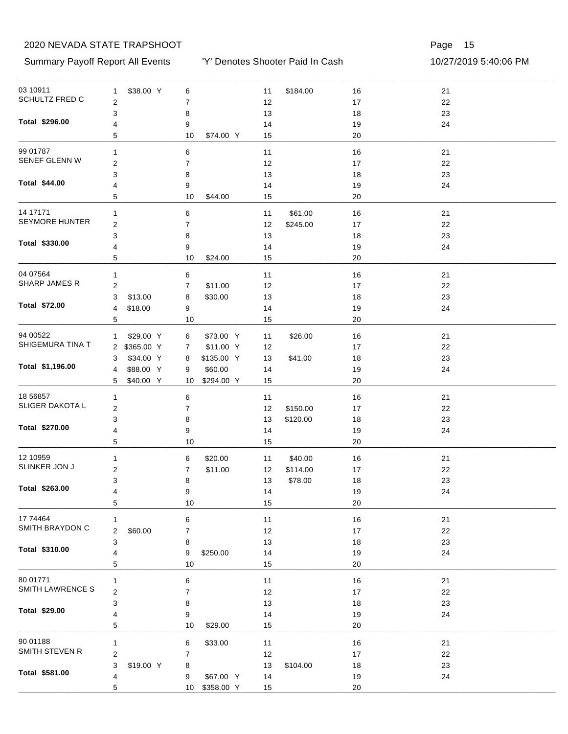Summary Payoff Report All Events 10/27/2019 5:40:06 PM

'Y' Denotes Shooter Paid In Cash

| 03 10911                     | $\mathbf{1}$     | \$38.00 Y    | 6       |               | 11       | \$184.00 | 16       | 21 |  |
|------------------------------|------------------|--------------|---------|---------------|----------|----------|----------|----|--|
| SCHULTZ FRED C               | $\overline{2}$   |              | 7       |               | 12       |          | $17\,$   | 22 |  |
|                              | 3                |              | 8       |               | 13       |          | 18       | 23 |  |
| Total \$296.00               | 4                |              | 9       |               | 14       |          | 19       | 24 |  |
|                              | 5                |              | 10      | \$74.00 Y     | 15       |          | 20       |    |  |
| 99 01787                     | 1                |              | 6       |               | 11       |          | 16       | 21 |  |
| SENEF GLENN W                | $\overline{c}$   |              | 7       |               | 12       |          | 17       | 22 |  |
|                              | 3                |              | 8       |               | 13       |          | 18       | 23 |  |
| Total \$44.00                | 4                |              | 9       |               | 14       |          | 19       | 24 |  |
|                              | 5                |              | 10      | \$44.00       | 15       |          | 20       |    |  |
| 14 17 17 1                   | 1                |              | 6       |               | 11       | \$61.00  | 16       | 21 |  |
| <b>SEYMORE HUNTER</b>        | $\boldsymbol{2}$ |              | 7       |               | 12       | \$245.00 | 17       | 22 |  |
|                              |                  |              |         |               | 13       |          |          |    |  |
| Total \$330.00               | 3<br>4           |              | 8       |               |          |          | 18       | 23 |  |
|                              | 5                |              | 9<br>10 | \$24.00       | 14<br>15 |          | 19<br>20 | 24 |  |
|                              |                  |              |         |               |          |          |          |    |  |
| 04 07564                     | $\mathbf{1}$     |              | 6       |               | 11       |          | 16       | 21 |  |
| <b>SHARP JAMES R</b>         | $\overline{c}$   |              | 7       | \$11.00       | 12       |          | 17       | 22 |  |
|                              | 3                | \$13.00      | 8       | \$30.00       | 13       |          | 18       | 23 |  |
| Total \$72.00                | 4                | \$18.00      | 9       |               | 14       |          | 19       | 24 |  |
|                              | 5                |              | 10      |               | 15       |          | 20       |    |  |
| 94 00522                     | 1                | \$29.00 Y    | 6       | \$73.00 Y     | 11       | \$26.00  | 16       | 21 |  |
| SHIGEMURA TINA T             |                  | 2 \$365.00 Y | 7       | \$11.00 Y     | 12       |          | 17       | 22 |  |
|                              | 3                | \$34.00 Y    | 8       | \$135.00 Y    | 13       | \$41.00  | 18       | 23 |  |
| Total \$1,196.00             | 4                | \$88.00 Y    | 9       | \$60.00       | 14       |          | 19       | 24 |  |
|                              | 5                | \$40.00 Y    | 10      | \$294.00 Y    | 15       |          | 20       |    |  |
| 18 5 68 57                   | 1                |              | 6       |               | 11       |          | 16       | 21 |  |
| SLIGER DAKOTA L              | $\overline{2}$   |              | 7       |               | 12       | \$150.00 | 17       | 22 |  |
|                              | 3                |              | 8       |               | 13       | \$120.00 | 18       | 23 |  |
| Total \$270.00               | 4                |              | 9       |               | 14       |          | 19       | 24 |  |
|                              | 5                |              | 10      |               | 15       |          | 20       |    |  |
| 12 10959                     | $\mathbf{1}$     |              | 6       | \$20.00       | 11       | \$40.00  | 16       | 21 |  |
| SLINKER JON J                | 2                |              | 7       | \$11.00       | 12       | \$114.00 | 17       | 22 |  |
|                              | 3                |              | 8       |               | 13       | \$78.00  | 18       | 23 |  |
| Total \$263.00               | 4                |              | 9       |               | 14       |          | $19$     | 24 |  |
|                              | 5                |              | 10      |               | 15       |          | 20       |    |  |
|                              |                  |              |         |               |          |          |          |    |  |
| 17 74464<br>SMITH BRAYDON C  | $\mathbf{1}$     |              | 6       |               | 11       |          | 16       | 21 |  |
|                              | $\boldsymbol{2}$ | \$60.00      | 7       |               | 12       |          | $17\,$   | 22 |  |
| Total \$310.00               | 3                |              | 8       |               | 13       |          | 18       | 23 |  |
|                              | 4<br>5           |              | 9<br>10 | \$250.00      | 14<br>15 |          | 19<br>20 | 24 |  |
|                              |                  |              |         |               |          |          |          |    |  |
| 80 01771<br>SMITH LAWRENCE S | 1                |              | 6       |               | $11$     |          | 16       | 21 |  |
|                              | $\boldsymbol{2}$ |              | 7       |               | 12       |          | 17       | 22 |  |
| Total \$29.00                | 3                |              | 8       |               | 13       |          | 18       | 23 |  |
|                              | 4                |              | 9       |               | 14       |          | 19       | 24 |  |
|                              | 5                |              | 10      | \$29.00       | 15       |          | 20       |    |  |
| 90 01188                     | $\mathbf{1}$     |              | 6       | \$33.00       | 11       |          | 16       | 21 |  |
| SMITH STEVEN R               | $\boldsymbol{2}$ |              | 7       |               | 12       |          | 17       | 22 |  |
|                              | 3                | \$19.00 Y    | 8       |               | 13       | \$104.00 | 18       | 23 |  |
| Total \$581.00               | 4                |              | 9       | \$67.00 Y     | 14       |          | 19       | 24 |  |
|                              | 5                |              |         | 10 \$358.00 Y | 15       |          | $20\,$   |    |  |
|                              |                  |              |         |               |          |          |          |    |  |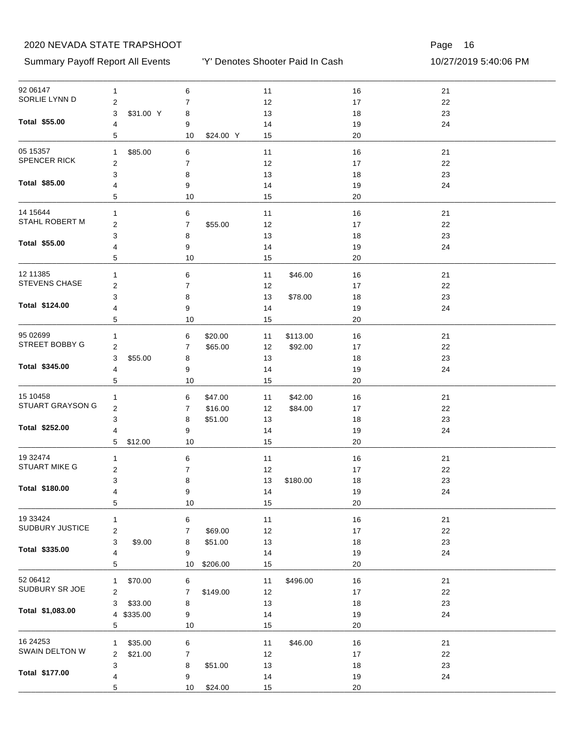Summary Payoff Report All Events 10/27/2019 5:40:06 PM

'Y' Denotes Shooter Paid In Cash

| 92 06147                    | 1                          | 6                         | $11$           | 16     | 21     |  |
|-----------------------------|----------------------------|---------------------------|----------------|--------|--------|--|
| SORLIE LYNN D               | $\overline{\mathbf{c}}$    | 7                         | 12             | $17$   | 22     |  |
|                             | 3<br>\$31.00 Y             | 8                         | 13             | 18     | 23     |  |
| Total \$55.00               | 4                          | 9                         | 14             | 19     | 24     |  |
|                             | 5                          | \$24.00 Y<br>10           | 15             | 20     |        |  |
| 05 15357                    | \$85.00<br>$\mathbf{1}$    | 6                         | 11             | 16     | 21     |  |
| SPENCER RICK                | $\overline{\mathbf{c}}$    | 7                         | 12             | 17     | 22     |  |
|                             | 3                          | 8                         | 13             | 18     | 23     |  |
| Total \$85.00               | 4                          | 9                         | 14             | 19     | 24     |  |
|                             | 5                          | 10                        | 15             | 20     |        |  |
| 14 15 644                   | $\mathbf{1}$               | 6                         | 11             | 16     | 21     |  |
| STAHL ROBERT M              | $\boldsymbol{2}$           | $\overline{7}$<br>\$55.00 | 12             | 17     | 22     |  |
|                             | 3                          | 8                         | 13             | 18     | 23     |  |
| <b>Total \$55.00</b>        | 4                          | 9                         | 14             | 19     | 24     |  |
|                             | 5                          | 10                        | 15             | 20     |        |  |
| 12 11 38 5                  | 1                          | 6                         | \$46.00<br>11  | 16     | 21     |  |
| <b>STEVENS CHASE</b>        | $\boldsymbol{2}$           | 7                         | 12             | 17     | 22     |  |
|                             | 3                          | 8                         | 13<br>\$78.00  | 18     | 23     |  |
| Total \$124.00              | 4                          | 9                         | 14             | 19     | 24     |  |
|                             | 5                          | 10                        | 15             | 20     |        |  |
|                             |                            |                           |                |        |        |  |
| 95 02699<br>STREET BOBBY G  | 1                          | 6<br>\$20.00              | \$113.00<br>11 | 16     | 21     |  |
|                             | $\overline{\mathbf{c}}$    | \$65.00<br>7              | 12<br>\$92.00  | 17     | 22     |  |
|                             | 3<br>\$55.00               | 8                         | 13             | 18     | 23     |  |
| Total \$345.00              | 4                          | 9                         | 14             | 19     | 24     |  |
|                             | 5                          | 10                        | 15             | 20     |        |  |
| 15 10458                    | 1                          | 6<br>\$47.00              | \$42.00<br>11  | 16     | 21     |  |
| STUART GRAYSON G            | $\boldsymbol{2}$           | \$16.00<br>7              | 12<br>\$84.00  | 17     | 22     |  |
|                             | 3                          | \$51.00<br>8              | 13             | 18     | 23     |  |
| Total \$252.00              | 4                          | 9                         | 14             | 19     | 24     |  |
|                             | 5<br>\$12.00               | 10                        | 15             | 20     |        |  |
| 19 32474                    | 1                          | 6                         | 11             | 16     | 21     |  |
| <b>STUART MIKE G</b>        | $\boldsymbol{2}$           | 7                         | 12             | 17     | 22     |  |
|                             | 3                          | 8                         | 13<br>\$180.00 | 18     | 23     |  |
| Total \$180.00              | 4                          | 9                         | 14             | 19     | 24     |  |
|                             | 5                          | $10$                      | 15             | 20     |        |  |
|                             |                            |                           |                |        |        |  |
| 19 33424<br>SUDBURY JUSTICE | 1                          | 6                         | 11             | 16     | 21     |  |
|                             | $\overline{\mathbf{c}}$    | \$69.00<br>7              | 12             | $17$   | 22     |  |
| Total \$335.00              | 3<br>\$9.00                | \$51.00<br>8              | $13$           | 18     | 23     |  |
|                             | 4                          | 9                         | 14             | 19     | 24     |  |
|                             | 5                          | 10<br>\$206.00            | 15             | 20     |        |  |
| 52 06412                    | \$70.00<br>1               | 6                         | \$496.00<br>11 | 16     | 21     |  |
| SUDBURY SR JOE              | $\overline{\mathbf{c}}$    | 7<br>\$149.00             | 12             | $17$   | 22     |  |
|                             | 3<br>\$33.00               | 8                         | 13             | 18     | 23     |  |
| Total \$1,083.00            | \$335.00<br>$\overline{4}$ | 9                         | 14             | 19     | 24     |  |
|                             | 5                          | $10$                      | 15             | 20     |        |  |
| 16 24 25 3                  | \$35.00<br>1               | 6                         | \$46.00<br>11  | 16     | $21$   |  |
| SWAIN DELTON W              | \$21.00<br>2               | 7                         | 12             | $17$   | $22\,$ |  |
|                             | 3                          | \$51.00<br>8              | $13$           | 18     | 23     |  |
| Total \$177.00              | 4                          | 9                         | 14             | 19     | 24     |  |
|                             | 5                          | 10<br>\$24.00             | 15             | $20\,$ |        |  |
|                             |                            |                           |                |        |        |  |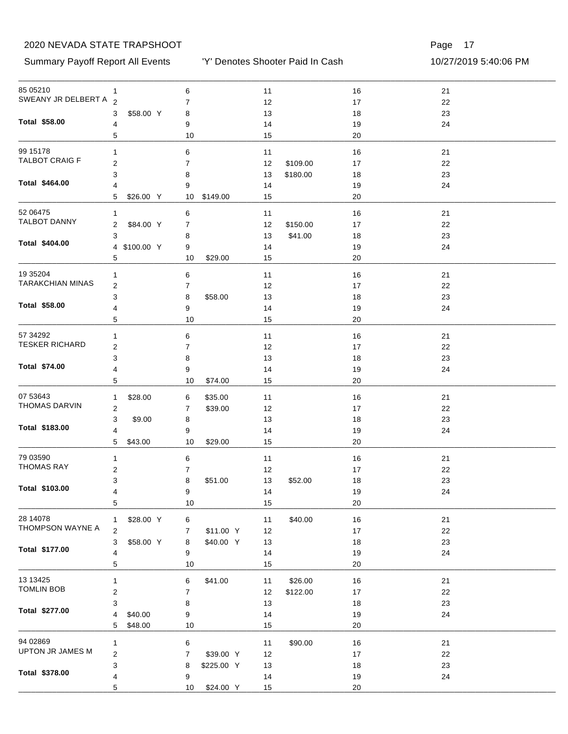Summary Payoff Report All Events 10/27/2019 5:40:06 PM

'Y' Denotes Shooter Paid In Cash

| 85 05210                      | 1                         | 6               | 11             | 16   | 21   |  |
|-------------------------------|---------------------------|-----------------|----------------|------|------|--|
| SWEANY JR DELBERT A 2         |                           | 7               | 12             | $17$ | 22   |  |
|                               | \$58.00 Y<br>3            | 8               | 13             | 18   | 23   |  |
| Total \$58.00                 | 4                         | 9               | 14             | 19   | 24   |  |
|                               | 5                         | 10              | 15             | 20   |      |  |
| 99 15178                      | 1                         | 6               | 11             | 16   | 21   |  |
| TALBOT CRAIG F                | 2                         | 7               | 12<br>\$109.00 | 17   | 22   |  |
|                               | 3                         | 8               | \$180.00<br>13 | 18   | 23   |  |
| Total \$464.00                | 4                         | 9               | 14             | 19   | 24   |  |
|                               | 5<br>\$26.00 Y            | \$149.00<br>10  | 15             | 20   |      |  |
| 52 06475                      | 1                         | 6               | 11             | 16   | 21   |  |
| <b>TALBOT DANNY</b>           | \$84.00 Y<br>2            | 7               | \$150.00<br>12 | 17   | 22   |  |
|                               | 3                         | 8               | \$41.00<br>13  | 18   | 23   |  |
| Total \$404.00                | 4 \$100.00 Y              | 9               | 14             | 19   | 24   |  |
|                               | 5                         | \$29.00<br>10   | 15             | 20   |      |  |
| 19 35 204                     | 1                         | 6               | 11             | 16   | 21   |  |
| <b>TARAKCHIAN MINAS</b>       | 2                         | 7               | 12             | 17   | 22   |  |
|                               | 3                         | 8<br>\$58.00    | 13             | 18   | 23   |  |
| Total \$58.00                 | 4                         | 9               | 14             | 19   | 24   |  |
|                               | 5                         | 10              | 15             | 20   |      |  |
| 57 34 29 2                    | 1                         | 6               | 11             | 16   | 21   |  |
| <b>TESKER RICHARD</b>         | $\overline{\mathbf{c}}$   | 7               | 12             | 17   | 22   |  |
|                               | 3                         | 8               | 13             | 18   | 23   |  |
| Total \$74.00                 | 4                         | 9               | 14             | 19   | 24   |  |
|                               | 5                         | 10<br>\$74.00   | 15             | 20   |      |  |
| 07 53643                      | \$28.00<br>1              | 6<br>\$35.00    | 11             | 16   | 21   |  |
| THOMAS DARVIN                 | $\overline{\mathbf{c}}$   | 7<br>\$39.00    | 12             | 17   | 22   |  |
|                               | 3<br>\$9.00               | 8               | 13             | 18   | 23   |  |
| Total \$183.00                | 4                         | 9               | 14             | 19   | 24   |  |
|                               | 5<br>\$43.00              | 10<br>\$29.00   | 15             | 20   |      |  |
|                               |                           |                 |                |      |      |  |
| 79 03590<br><b>THOMAS RAY</b> | 1                         | 6               | 11             | 16   | 21   |  |
|                               | 2                         | 7               | 12             | 17   | 22   |  |
| Total \$103.00                | 3                         | 8<br>\$51.00    | \$52.00<br>13  | 18   | 23   |  |
|                               | 4                         | 9               | 14             | $19$ | 24   |  |
|                               | 5                         | 10              | 15             | 20   |      |  |
| 28 14078                      | \$28.00 Y<br>$\mathbf{1}$ | 6               | \$40.00<br>11  | 16   | $21$ |  |
| THOMPSON WAYNE A              | 2                         | \$11.00 Y<br>7  | 12             | 17   | 22   |  |
|                               | \$58.00 Y<br>3            | \$40.00 Y<br>8  | 13             | 18   | 23   |  |
| Total \$177.00                | 4                         | 9               | 14             | 19   | 24   |  |
|                               | 5                         | 10              | 15             | 20   |      |  |
| 13 13 425                     | 1                         | \$41.00<br>6    | \$26.00<br>11  | 16   | 21   |  |
| <b>TOMLIN BOB</b>             | $\mathbf 2$               | $\overline{7}$  | \$122.00<br>12 | 17   | 22   |  |
|                               | 3                         | 8               | 13             | 18   | 23   |  |
| Total \$277.00                | 4<br>\$40.00              | 9               | 14             | 19   | 24   |  |
|                               | 5<br>\$48.00              | 10              | 15             | 20   |      |  |
| 94 02869                      | $\mathbf{1}$              | 6               | \$90.00<br>11  | 16   | $21$ |  |
| UPTON JR JAMES M              | $\overline{\mathbf{c}}$   | \$39.00 Y<br>7  | 12             | 17   | 22   |  |
|                               | 3                         | \$225.00 Y<br>8 | $13$           | 18   | 23   |  |
| Total \$378.00                | 4                         | 9               | 14             | 19   | 24   |  |
|                               | 5                         | 10<br>\$24.00 Y | 15             | 20   |      |  |
|                               |                           |                 |                |      |      |  |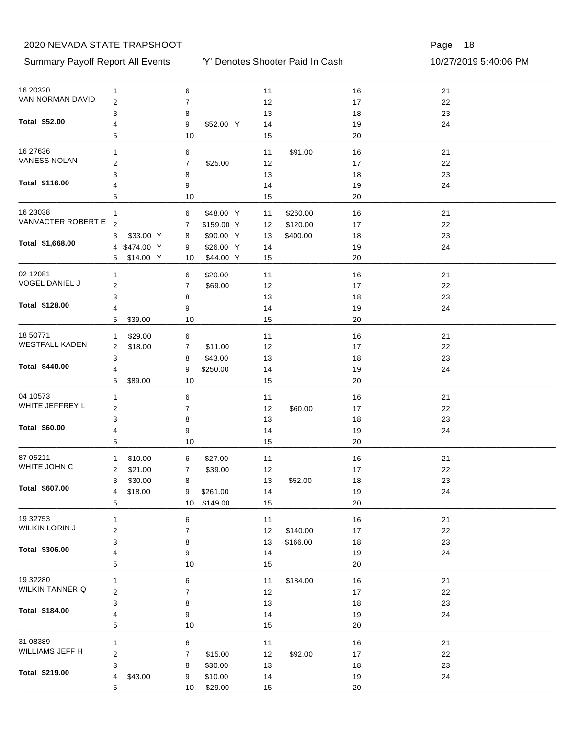#### Summary Payoff Report All Events 10/27/2019 5:40:06 PM

'Y' Denotes Shooter Paid In Cash

| 16 20320              | 1                         | 6                           | 11             | 16       | 21 |  |
|-----------------------|---------------------------|-----------------------------|----------------|----------|----|--|
| VAN NORMAN DAVID      | $\boldsymbol{2}$          | 7                           | 12             | $17\,$   | 22 |  |
|                       | 3                         | 8                           | 13             | 18       | 23 |  |
| Total \$52.00         | 4                         | \$52.00 Y<br>9              | 14             | 19       | 24 |  |
|                       | 5                         | 10                          | 15             | 20       |    |  |
| 16 27 636             | 1                         | 6                           | 11<br>\$91.00  | 16       | 21 |  |
| <b>VANESS NOLAN</b>   | $\overline{c}$            | 7<br>\$25.00                | 12             | 17       | 22 |  |
|                       |                           |                             |                |          | 23 |  |
| Total \$116.00        | 3                         | 8                           | 13             | 18       |    |  |
|                       | 4<br>5                    | 9<br>10                     | 14<br>15       | 19<br>20 | 24 |  |
| 16 23038              |                           |                             |                |          |    |  |
| VANVACTER ROBERT E    | 1                         | \$48.00 Y<br>6              | \$260.00<br>11 | 16       | 21 |  |
|                       | $\overline{2}$            | 7<br>\$159.00 Y             | \$120.00<br>12 | 17       | 22 |  |
| Total \$1,668.00      | \$33.00 Y<br>3            | \$90.00 Y<br>8              | \$400.00<br>13 | 18       | 23 |  |
|                       | 4 \$474.00 Y              | \$26.00 Y<br>9              | 14             | 19       | 24 |  |
|                       | \$14.00 Y<br>5            | \$44.00 Y<br>10             | 15             | 20       |    |  |
| 02 12081              | 1                         | 6<br>\$20.00                | 11             | 16       | 21 |  |
| VOGEL DANIEL J        | $\overline{2}$            | 7<br>\$69.00                | 12             | 17       | 22 |  |
|                       | 3                         | 8                           | 13             | 18       | 23 |  |
| Total \$128.00        | 4                         | 9                           | 14             | 19       | 24 |  |
|                       | \$39.00<br>5              | 10                          | 15             | 20       |    |  |
| 18 50771              | \$29.00<br>1              | 6                           | 11             | 16       | 21 |  |
| <b>WESTFALL KADEN</b> | \$18.00<br>2              | \$11.00<br>7                | 12             | 17       | 22 |  |
|                       | 3                         | \$43.00<br>8                | 13             | 18       | 23 |  |
| Total \$440.00        | 4                         | 9<br>\$250.00               | 14             | 19       | 24 |  |
|                       | 5<br>\$89.00              | 10                          | 15             | 20       |    |  |
| 04 10573              |                           |                             |                |          |    |  |
| WHITE JEFFREY L       | 1                         | 6                           | 11             | 16       | 21 |  |
|                       | $\overline{2}$            | 7                           | 12<br>\$60.00  | 17       | 22 |  |
| Total \$60.00         | 3                         | 8                           | 13             | 18       | 23 |  |
|                       | 4                         | 9                           | 14             | 19       | 24 |  |
|                       | 5                         | 10                          | 15             | 20       |    |  |
| 87 05211              | \$10.00<br>1              | \$27.00<br>6                | 11             | 16       | 21 |  |
| WHITE JOHN C          | \$21.00<br>2              | \$39.00<br>7                | 12             | 17       | 22 |  |
|                       | 3<br>\$30.00              | 8                           | 13<br>\$52.00  | 18       | 23 |  |
| Total \$607.00        | \$18.00<br>$\overline{4}$ | \$261.00<br>9               | 14             | $19$     | 24 |  |
|                       | 5                         | 10 <sup>°</sup><br>\$149.00 | 15             | 20       |    |  |
| 19 32753              | 1                         | 6                           | $11$           | $16$     | 21 |  |
| WILKIN LORIN J        | $\boldsymbol{2}$          | 7                           | \$140.00<br>12 | $17\,$   | 22 |  |
|                       | 3                         | 8                           | 13<br>\$166.00 | 18       | 23 |  |
| Total \$306.00        | 4                         | 9                           | 14             | 19       | 24 |  |
|                       | 5                         | $10$                        | 15             | 20       |    |  |
| 19 32280              | 1                         | 6                           | 11<br>\$184.00 | 16       | 21 |  |
| WILKIN TANNER Q       | $\boldsymbol{2}$          | 7                           | 12             |          | 22 |  |
|                       |                           |                             |                | 17       |    |  |
| Total \$184.00        | 3                         | 8                           | 13             | 18       | 23 |  |
|                       | 4<br>5                    | 9<br>$10$                   | 14<br>15       | 19<br>20 | 24 |  |
|                       |                           |                             |                |          |    |  |
| 31 08389              | $\mathbf{1}$              | 6                           | 11             | 16       | 21 |  |
| WILLIAMS JEFF H       | $\boldsymbol{2}$          | \$15.00<br>7                | 12<br>\$92.00  | 17       | 22 |  |
|                       | 3                         | \$30.00<br>8                | 13             | 18       | 23 |  |
| Total \$219.00        | \$43.00<br>4              | \$10.00<br>9                | 14             | 19       | 24 |  |
|                       | 5                         | \$29.00<br>10               | 15             | $20\,$   |    |  |